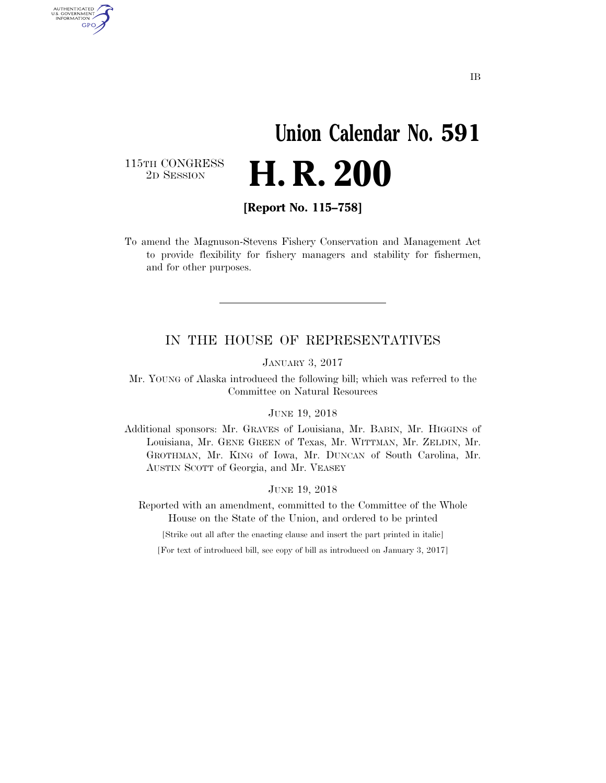# **Union Calendar No. 591**  2D SESSION **H. R. 200**

115TH CONGRESS<br>2D SESSION

AUTHENTICATED<br>U.S. GOVERNMENT<br>INFORMATION **GPO** 

**[Report No. 115–758]** 

To amend the Magnuson-Stevens Fishery Conservation and Management Act to provide flexibility for fishery managers and stability for fishermen, and for other purposes.

## IN THE HOUSE OF REPRESENTATIVES

JANUARY 3, 2017

Mr. YOUNG of Alaska introduced the following bill; which was referred to the Committee on Natural Resources

#### JUNE 19, 2018

Additional sponsors: Mr. GRAVES of Louisiana, Mr. BABIN, Mr. HIGGINS of Louisiana, Mr. GENE GREEN of Texas, Mr. WITTMAN, Mr. ZELDIN, Mr. GROTHMAN, Mr. KING of Iowa, Mr. DUNCAN of South Carolina, Mr. AUSTIN SCOTT of Georgia, and Mr. VEASEY

### JUNE 19, 2018

Reported with an amendment, committed to the Committee of the Whole House on the State of the Union, and ordered to be printed

[Strike out all after the enacting clause and insert the part printed in italic]

[For text of introduced bill, see copy of bill as introduced on January 3, 2017]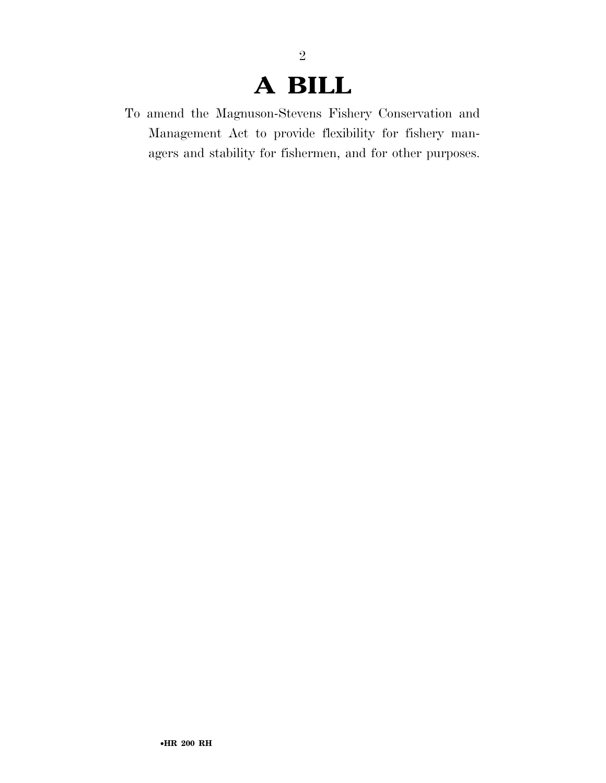# **A BILL**

2

To amend the Magnuson-Stevens Fishery Conservation and Management Act to provide flexibility for fishery managers and stability for fishermen, and for other purposes.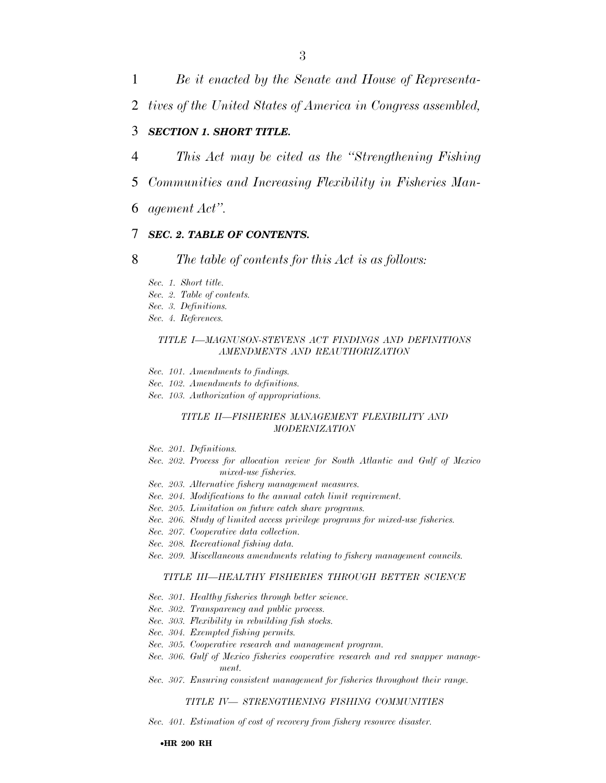1 *Be it enacted by the Senate and House of Representa-*

2 *tives of the United States of America in Congress assembled,* 

### 3 *SECTION 1. SHORT TITLE.*

- 4 *This Act may be cited as the ''Strengthening Fishing*
- 5 *Communities and Increasing Flexibility in Fisheries Man-*
- 6 *agement Act''.*

### 7 *SEC. 2. TABLE OF CONTENTS.*

8 *The table of contents for this Act is as follows:* 

- *Sec. 1. Short title.*
- *Sec. 2. Table of contents.*
- *Sec. 3. Definitions.*
- *Sec. 4. References.*

#### *TITLE I—MAGNUSON-STEVENS ACT FINDINGS AND DEFINITIONS AMENDMENTS AND REAUTHORIZATION*

- *Sec. 101. Amendments to findings.*
- *Sec. 102. Amendments to definitions.*
- *Sec. 103. Authorization of appropriations.*

#### *TITLE II—FISHERIES MANAGEMENT FLEXIBILITY AND MODERNIZATION*

- *Sec. 201. Definitions.*
- *Sec. 202. Process for allocation review for South Atlantic and Gulf of Mexico mixed-use fisheries.*
- *Sec. 203. Alternative fishery management measures.*
- *Sec. 204. Modifications to the annual catch limit requirement.*
- *Sec. 205. Limitation on future catch share programs.*
- *Sec. 206. Study of limited access privilege programs for mixed-use fisheries.*
- *Sec. 207. Cooperative data collection.*
- *Sec. 208. Recreational fishing data.*
- *Sec. 209. Miscellaneous amendments relating to fishery management councils.*

### *TITLE III—HEALTHY FISHERIES THROUGH BETTER SCIENCE*

- *Sec. 301. Healthy fisheries through better science.*
- *Sec. 302. Transparency and public process.*
- *Sec. 303. Flexibility in rebuilding fish stocks.*
- *Sec. 304. Exempted fishing permits.*
- *Sec. 305. Cooperative research and management program.*
- *Sec. 306. Gulf of Mexico fisheries cooperative research and red snapper management.*
- *Sec. 307. Ensuring consistent management for fisheries throughout their range.*

#### *TITLE IV— STRENGTHENING FISHING COMMUNITIES*

*Sec. 401. Estimation of cost of recovery from fishery resource disaster.*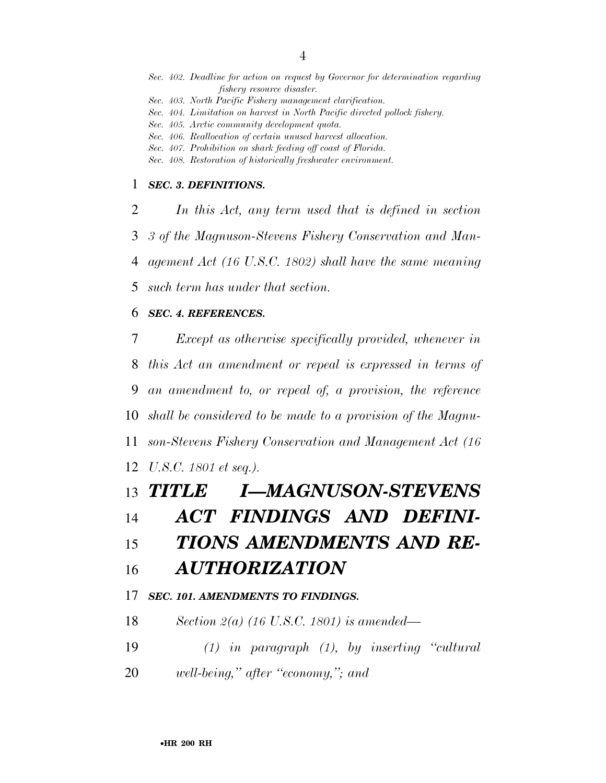- *Sec. 403. North Pacific Fishery management clarification.*
- *Sec. 404. Limitation on harvest in North Pacific directed pollock fishery.*
- *Sec. 405. Arctic community development quota.*
- *Sec. 406. Reallocation of certain unused harvest allocation.*
- *Sec. 407. Prohibition on shark feeding off coast of Florida.*
- *Sec. 408. Restoration of historically freshwater environment.*

### *SEC. 3. DEFINITIONS.*

 *In this Act, any term used that is defined in section 3 of the Magnuson-Stevens Fishery Conservation and Man- agement Act (16 U.S.C. 1802) shall have the same meaning such term has under that section.* 

## *SEC. 4. REFERENCES.*

 *Except as otherwise specifically provided, whenever in this Act an amendment or repeal is expressed in terms of an amendment to, or repeal of, a provision, the reference shall be considered to be made to a provision of the Magnu- son-Stevens Fishery Conservation and Management Act (16 U.S.C. 1801 et seq.).* 

## *TITLE I—MAGNUSON-STEVENS*

## *ACT FINDINGS AND DEFINI-*

## *TIONS AMENDMENTS AND RE-*

## *AUTHORIZATION*

### *SEC. 101. AMENDMENTS TO FINDINGS.*

- *Section 2(a) (16 U.S.C. 1801) is amended—*
- *(1) in paragraph (1), by inserting ''cultural*
- *well-being,'' after ''economy,''; and*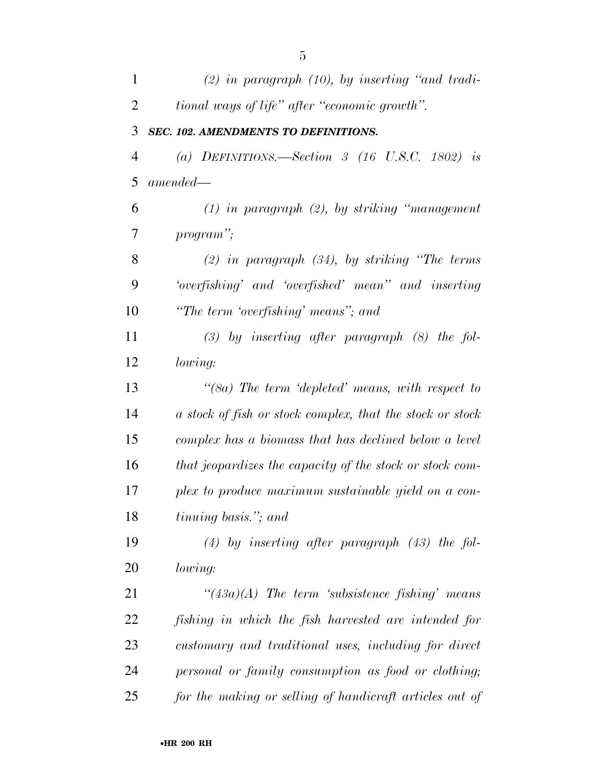| $\mathbf{1}$   | $(2)$ in paragraph $(10)$ , by inserting "and tradi-      |
|----------------|-----------------------------------------------------------|
| $\overline{2}$ | tional ways of life" after "economic growth".             |
| 3              | SEC. 102. AMENDMENTS TO DEFINITIONS.                      |
| $\overline{4}$ | (a) DEFINITIONS.—Section 3 (16 U.S.C. 1802) is            |
| 5              | $amended -$                                               |
| 6              | $(1)$ in paragraph $(2)$ , by striking "management"       |
| 7              | program";                                                 |
| 8              | $(2)$ in paragraph $(34)$ , by striking "The terms"       |
| 9              | 'overfishing' and 'overfished' mean'' and inserting       |
| 10             | "The term 'overfishing' means"; and                       |
| 11             | $(3)$ by inserting after paragraph $(8)$ the fol-         |
| 12             | lowing:                                                   |
| 13             | " $(8a)$ The term 'depleted' means, with respect to       |
| 14             | a stock of fish or stock complex, that the stock or stock |
| 15             | complex has a biomass that has declined below a level     |
| 16             | that jeopardizes the capacity of the stock or stock com-  |
| 17             | plex to produce maximum sustainable yield on a con-       |
| 18             | <i>tinuing basis.</i> "; and                              |
| 19             | $(4)$ by inserting after paragraph $(43)$ the fol-        |
| 20             | <i>lowing:</i>                                            |
| 21             | $\lq(43a)(A)$ The term 'subsistence fishing' means        |
| 22             | fishing in which the fish harvested are intended for      |
| 23             | customary and traditional uses, including for direct      |
| 24             | personal or family consumption as food or clothing;       |
| 25             | for the making or selling of handicraft articles out of   |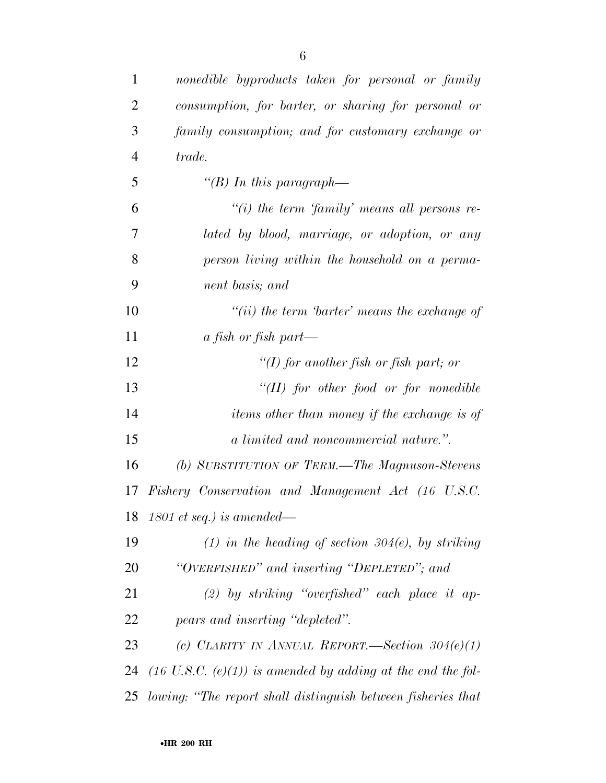| $\mathbf{1}$   | nonedible byproducts taken for personal or family                      |
|----------------|------------------------------------------------------------------------|
| $\overline{2}$ | consumption, for barter, or sharing for personal or                    |
| 3              | family consumption; and for customary exchange or                      |
| $\overline{4}$ | trade.                                                                 |
| 5              | "(B) In this paragraph—                                                |
| 6              | $\lq\lq(i)$ the term 'family' means all persons re-                    |
| 7              | lated by blood, marriage, or adoption, or any                          |
| 8              | person living within the household on a perma-                         |
| 9              | nent basis; and                                                        |
| 10             | $``(ii)$ the term 'barter' means the exchange of                       |
| 11             | a fish or fish part—                                                   |
| 12             | "(I) for another fish or fish part; or                                 |
| 13             | $``(II)$ for other food or for nonedible                               |
| 14             | <i>items other than money if the exchange is of</i>                    |
| 15             | a limited and noncommercial nature.".                                  |
| 16             | (b) SUBSTITUTION OF TERM.—The Magnuson-Stevens                         |
| 17             | Fishery Conservation and Management Act (16 U.S.C.                     |
|                | 18 1801 et seq.) is amended—                                           |
| 19             | $(1)$ in the heading of section 304(e), by striking                    |
| 20             | "OVERFISHED" and inserting "DEPLETED"; and                             |
| 21             | (2) by striking "overfished" each place it ap-                         |
| 22             | pears and inserting "depleted".                                        |
| 23             | (c) CLARITY IN ANNUAL REPORT.—Section $304(e)(1)$                      |
| 24             | $(16 \text{ U.S.C. } (e)(1))$ is amended by adding at the end the fol- |
| 25             | lowing: "The report shall distinguish between fisheries that           |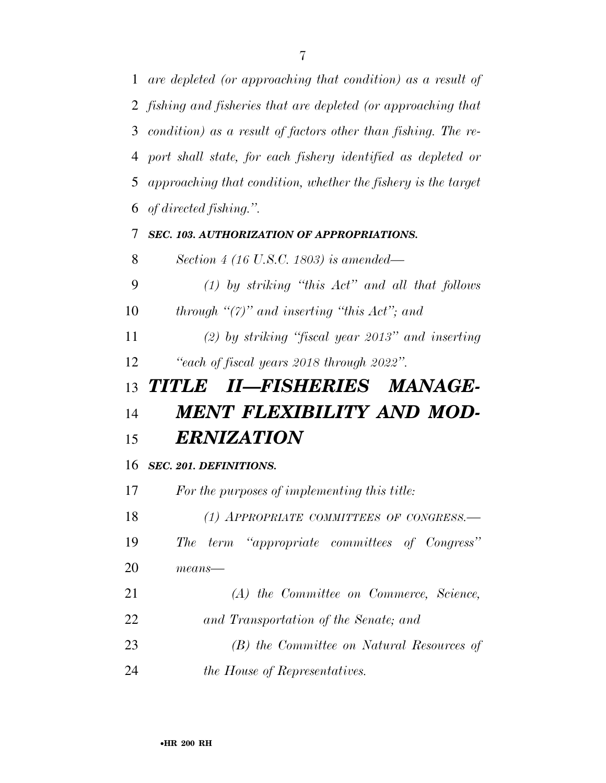*are depleted (or approaching that condition) as a result of fishing and fisheries that are depleted (or approaching that condition) as a result of factors other than fishing. The re- port shall state, for each fishery identified as depleted or approaching that condition, whether the fishery is the target of directed fishing.''. SEC. 103. AUTHORIZATION OF APPROPRIATIONS. Section 4 (16 U.S.C. 1803) is amended— (1) by striking ''this Act'' and all that follows through ''(7)'' and inserting ''this Act''; and (2) by striking ''fiscal year 2013'' and inserting ''each of fiscal years 2018 through 2022''. TITLE II—FISHERIES MANAGE- MENT FLEXIBILITY AND MOD- ERNIZATION SEC. 201. DEFINITIONS. For the purposes of implementing this title: (1) APPROPRIATE COMMITTEES OF CONGRESS.— The term ''appropriate committees of Congress'' means— (A) the Committee on Commerce, Science,* 

- *and Transportation of the Senate; and*
- *(B) the Committee on Natural Resources of*
- *the House of Representatives.*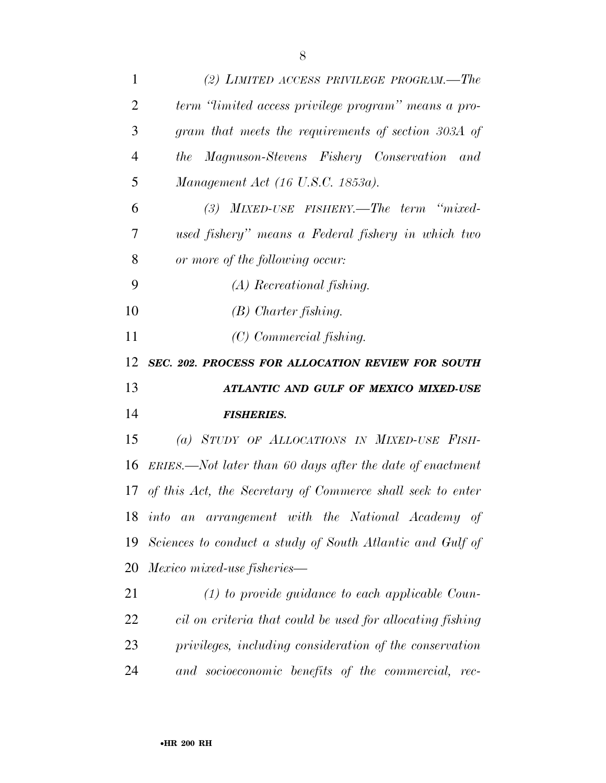| 1              | (2) LIMITED ACCESS PRIVILEGE PROGRAM.—The                    |
|----------------|--------------------------------------------------------------|
| $\overline{2}$ | term "limited access privilege program" means a pro-         |
| 3              | gram that meets the requirements of section 303A of          |
| $\overline{4}$ | Magnuson-Stevens Fishery Conservation<br>the<br>and          |
| 5              | Management Act (16 U.S.C. 1853a).                            |
| 6              | (3) MIXED-USE FISHERY.—The term "mixed-                      |
| 7              | used fishery" means a Federal fishery in which two           |
| 8              | or more of the following occur:                              |
| 9              | (A) Recreational fishing.                                    |
| 10             | $(B)$ Charter fishing.                                       |
| 11             | (C) Commercial fishing.                                      |
| 12             | SEC. 202. PROCESS FOR ALLOCATION REVIEW FOR SOUTH            |
|                |                                                              |
| 13             | ATLANTIC AND GULF OF MEXICO MIXED-USE                        |
| 14             | <b>FISHERIES.</b>                                            |
| 15             | (a) STUDY OF ALLOCATIONS IN MIXED-USE FISH-                  |
| 16             | $ERIES.$ —Not later than 60 days after the date of enactment |
| 17             | of this Act, the Secretary of Commerce shall seek to enter   |
| 18             | into an arrangement with the National Academy of             |
| 19             | Sciences to conduct a study of South Atlantic and Gulf of    |
| 20             | <i>Mexico mixed-use fisheries—</i>                           |
| 21             | $(1)$ to provide guidance to each applicable Coun-           |
| 22             | cil on criteria that could be used for allocating fishing    |
| 23             | privileges, including consideration of the conservation      |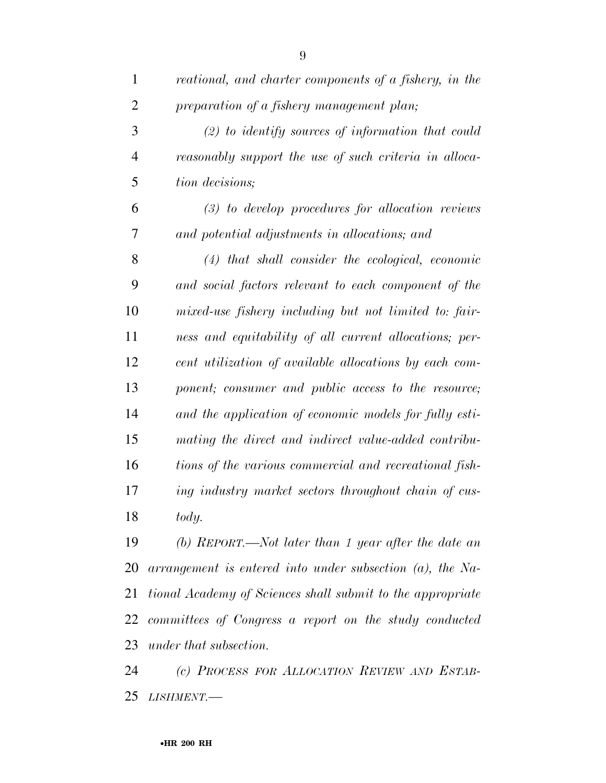| $\mathbf{1}$   | reational, and charter components of a fishery, in the      |
|----------------|-------------------------------------------------------------|
| $\overline{2}$ | preparation of a fishery management plan;                   |
| 3              | $(2)$ to identify sources of information that could         |
| $\overline{4}$ | reasonably support the use of such criteria in alloca-      |
| 5              | tion decisions;                                             |
| 6              | $(3)$ to develop procedures for allocation reviews          |
| 7              | and potential adjustments in allocations; and               |
| 8              | $(4)$ that shall consider the ecological, economic          |
| 9              | and social factors relevant to each component of the        |
| 10             | mixed-use fishery including but not limited to: fair-       |
| 11             | ness and equitability of all current allocations; per-      |
| 12             | cent utilization of available allocations by each com-      |
| 13             | ponent; consumer and public access to the resource;         |
| 14             | and the application of economic models for fully esti-      |
| 15             | mating the direct and indirect value-added contribu-        |
| 16             | tions of the various commercial and recreational fish-      |
| 17             | ing industry market sectors throughout chain of cus-        |
| 18             | tody.                                                       |
| 19             | (b) REPORT.—Not later than 1 year after the date an         |
| 20             | $arrangement$ is entered into under subsection (a), the Na- |
| 21             | tional Academy of Sciences shall submit to the appropriate  |
|                | 22 committees of Congress a report on the study conducted   |
| 23             | under that subsection.                                      |
| 24             | (c) PROCESS FOR ALLOCATION REVIEW AND ESTAB-                |

*LISHMENT.—*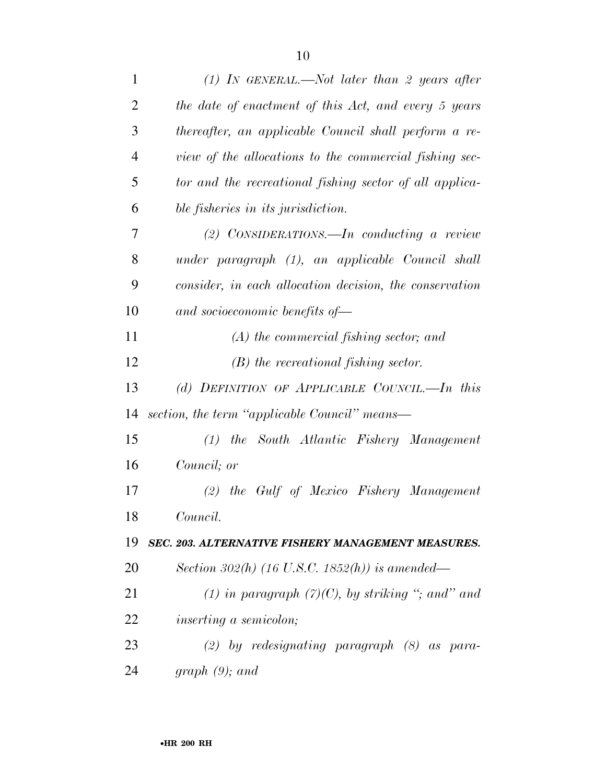| $\mathbf{1}$   | (1) IN GENERAL.—Not later than 2 years after              |
|----------------|-----------------------------------------------------------|
| $\overline{2}$ | the date of enactment of this Act, and every 5 years      |
| 3              | thereafter, an applicable Council shall perform a re-     |
| 4              | view of the allocations to the commercial fishing sec-    |
| 5              | tor and the recreational fishing sector of all applica-   |
| 6              | ble fisheries in its jurisdiction.                        |
| 7              | (2) CONSIDERATIONS. $\text{---}In$ conducting a review    |
| 8              | under paragraph (1), an applicable Council shall          |
| 9              | consider, in each allocation decision, the conservation   |
| 10             | and socioeconomic benefits of-                            |
| 11             | $(A)$ the commercial fishing sector; and                  |
| 12             | $(B)$ the recreational fishing sector.                    |
| 13             | (d) DEFINITION OF APPLICABLE COUNCIL.—In this             |
| 14             | section, the term "applicable Council" means—             |
| 15             | (1) the South Atlantic Fishery Management                 |
| 16             | Council; or                                               |
| 17             | (2) the Gulf of Mexico Fishery Management                 |
| 18             | Council.                                                  |
| 19             | <b>SEC. 203. ALTERNATIVE FISHERY MANAGEMENT MEASURES.</b> |
| 20             | Section 302(h) (16 U.S.C. 1852(h)) is amended—            |
| 21             | (1) in paragraph $(7)(C)$ , by striking "; and" and       |
| 22             | <i>inserting a semicolon;</i>                             |
| 23             | $(2)$ by redesignating paragraph $(8)$ as para-           |
| 24             | graph $(9)$ ; and                                         |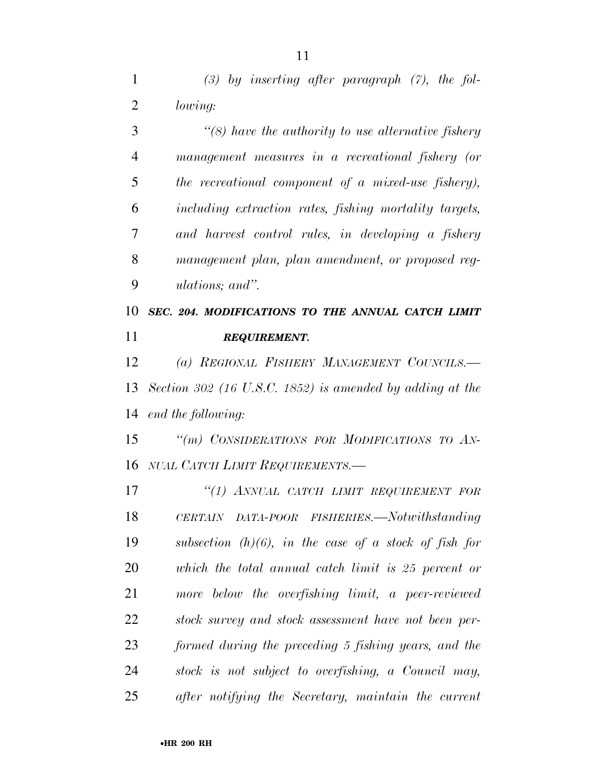*(3) by inserting after paragraph (7), the fol-lowing:* 

 *''(8) have the authority to use alternative fishery management measures in a recreational fishery (or the recreational component of a mixed-use fishery), including extraction rates, fishing mortality targets, and harvest control rules, in developing a fishery management plan, plan amendment, or proposed reg-ulations; and''.* 

 *SEC. 204. MODIFICATIONS TO THE ANNUAL CATCH LIMIT REQUIREMENT.* 

 *(a) REGIONAL FISHERY MANAGEMENT COUNCILS.— Section 302 (16 U.S.C. 1852) is amended by adding at the end the following:* 

 *''(m) CONSIDERATIONS FOR MODIFICATIONS TO AN-NUAL CATCH LIMIT REQUIREMENTS.—* 

 *''(1) ANNUAL CATCH LIMIT REQUIREMENT FOR CERTAIN DATA-POOR FISHERIES.—Notwithstanding subsection (h)(6), in the case of a stock of fish for which the total annual catch limit is 25 percent or more below the overfishing limit, a peer-reviewed stock survey and stock assessment have not been per- formed during the preceding 5 fishing years, and the stock is not subject to overfishing, a Council may, after notifying the Secretary, maintain the current*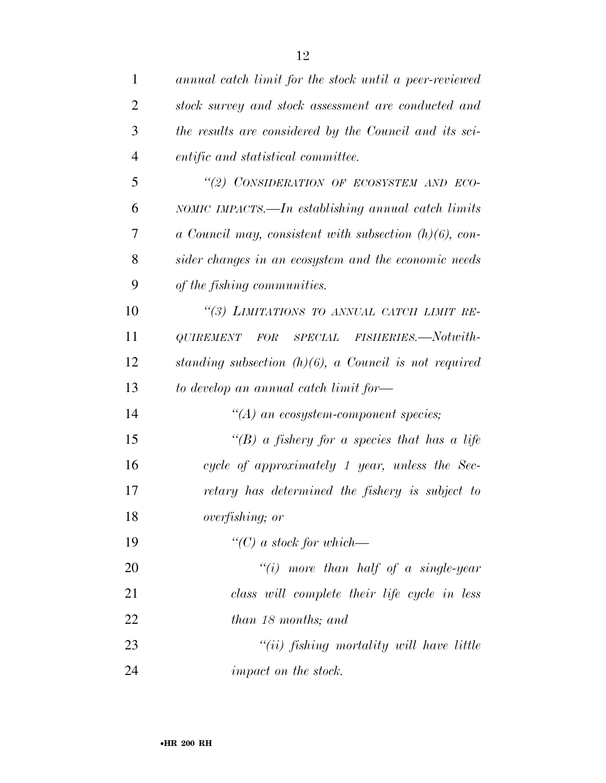| $\mathbf{1}$   | annual catch limit for the stock until a peer-reviewed      |
|----------------|-------------------------------------------------------------|
| $\overline{2}$ | stock survey and stock assessment are conducted and         |
| 3              | the results are considered by the Council and its sci-      |
| $\overline{4}$ | entific and statistical committee.                          |
| 5              | "(2) CONSIDERATION OF ECOSYSTEM AND ECO-                    |
| 6              | NOMIC IMPACTS.—In establishing annual catch limits          |
| 7              | $a$ Council may, consistent with subsection $(h)(6)$ , con- |
| 8              | sider changes in an ecosystem and the economic needs        |
| 9              | of the fishing communities.                                 |
| 10             | "(3) LIMITATIONS TO ANNUAL CATCH LIMIT RE-                  |
| 11             | SPECIAL FISHERIES.-Notwith-<br><i>QUIREMENT</i><br>FOR      |
| 12             | standing subsection $(h)(6)$ , a Council is not required    |
| 13             | to develop an annual catch limit for—                       |
| 14             | $\lq\lq (A)$ an ecosystem-component species;                |
| 15             | "(B) a fishery for a species that has a life                |
| 16             | cycle of approximately 1 year, unless the Sec-              |
| 17             | retary has determined the fishery is subject to             |
| 18             | overfishing; or                                             |
| 19             | $``(C)$ a stock for which—                                  |
| 20             | "(i) more than half of a single-year                        |
| 21             | class will complete their life cycle in less                |
| 22             | than 18 months; and                                         |
| 23             | $``(ii)$ fishing mortality will have little                 |
| 24             | impact on the stock.                                        |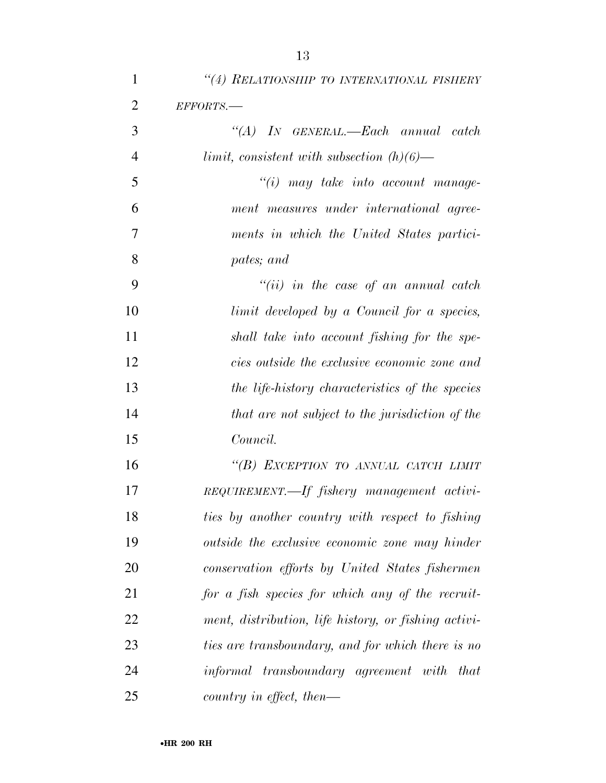| $\mathbf{1}$   | "(4) RELATIONSHIP TO INTERNATIONAL FISHERY           |
|----------------|------------------------------------------------------|
| $\overline{2}$ | EFFORTS.-                                            |
| 3              | "(A) IN GENERAL.—Each annual catch                   |
| $\overline{4}$ | $limit, consistent with subsection (h)(6)$ —         |
| 5              | $"(i)$ may take into account manage-                 |
| 6              | ment measures under international agree-             |
| 7              | ments in which the United States partici-            |
| 8              | pates; and                                           |
| 9              | $``(ii)$ in the case of an annual catch              |
| 10             | limit developed by a Council for a species,          |
| 11             | shall take into account fishing for the spe-         |
| 12             | cies outside the exclusive economic zone and         |
| 13             | the life-history characteristics of the species      |
| 14             | that are not subject to the jurisdiction of the      |
| 15             | Council.                                             |
| 16             | "(B) EXCEPTION TO ANNUAL CATCH LIMIT                 |
| 17             | REQUIREMENT.—If fishery management activi-           |
| 18             | ties by another country with respect to fishing      |
| 19             | outside the exclusive economic zone may hinder       |
| 20             | conservation efforts by United States fishermen      |
| 21             | for a fish species for which any of the recruit-     |
| 22             | ment, distribution, life history, or fishing activi- |
| 23             | ties are transboundary, and for which there is no    |
| 24             | informal transboundary agreement with that           |
| 25             | country in effect, then—                             |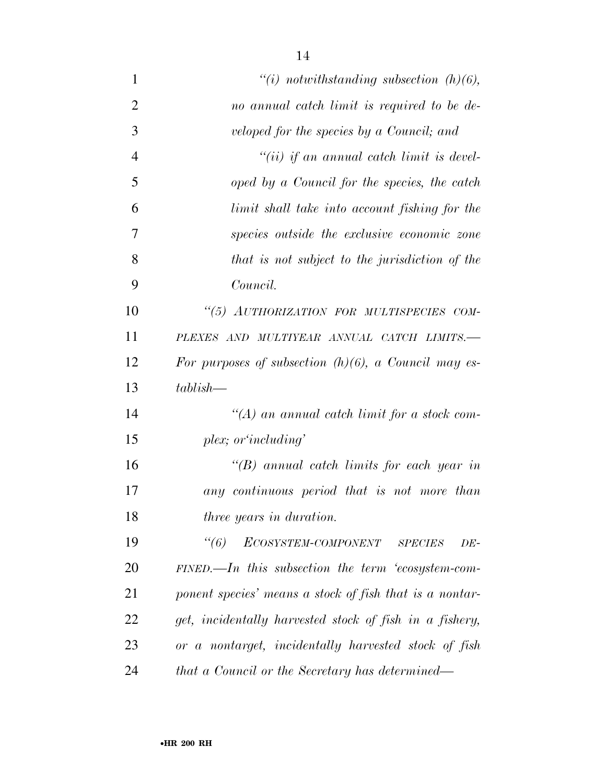| $\mathbf{1}$   | "(i) notwithstanding subsection $(h)(6)$ ,                     |
|----------------|----------------------------------------------------------------|
| $\overline{2}$ | no annual catch limit is required to be de-                    |
| 3              | veloped for the species by a Council; and                      |
| $\overline{4}$ | $``(ii)$ if an annual catch limit is devel-                    |
| 5              | oped by a Council for the species, the catch                   |
| 6              | limit shall take into account fishing for the                  |
| 7              | species outside the exclusive economic zone                    |
| 8              | that is not subject to the jurisdiction of the                 |
| 9              | Council.                                                       |
| 10             | "(5) AUTHORIZATION FOR MULTISPECIES COM-                       |
| 11             | PLEXES AND MULTIYEAR ANNUAL CATCH LIMITS.-                     |
| 12             | For purposes of subsection $(h)(6)$ , a Council may es-        |
| 13             | $tablish-$                                                     |
| 14             | "(A) an annual catch limit for a stock com-                    |
| 15             | plex; or 'including'                                           |
| 16             | "(B) annual catch limits for each year in                      |
| 17             | any continuous period that is not more than                    |
| 18             | <i>three years in duration.</i>                                |
| 19             | $\degree(6)$<br>ECOSYSTEM-COMPONENT<br><b>SPECIES</b><br>$DE-$ |
| 20             | $FINED$ . In this subsection the term 'ecosystem-com-          |
| 21             | ponent species' means a stock of fish that is a nontar-        |
| 22             | get, incidentally harvested stock of fish in a fishery,        |
| 23             | or a nontarget, incidentally harvested stock of fish           |
| 24             | that a Council or the Secretary has determined—                |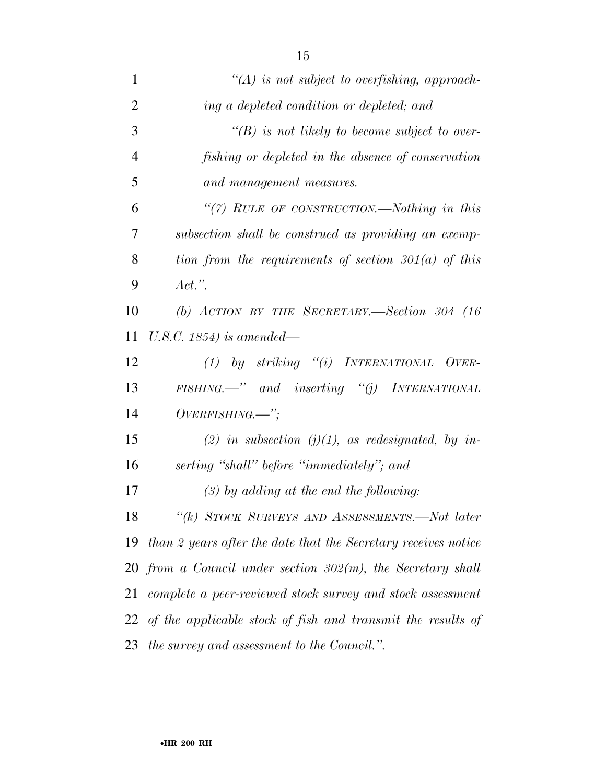| $\mathbf{1}$   | $\lq (A)$ is not subject to overfishing, approach-               |
|----------------|------------------------------------------------------------------|
| $\overline{2}$ | ing a depleted condition or depleted; and                        |
| 3              | $\lq\lq(B)$ is not likely to become subject to over-             |
| $\overline{4}$ | fishing or depleted in the absence of conservation               |
| 5              | and management measures.                                         |
| 6              | "(7) RULE OF CONSTRUCTION.—Nothing in this                       |
| 7              | subsection shall be construed as providing an exemp-             |
| 8              | tion from the requirements of section $301(a)$ of this           |
| 9              | $Act.$ ".                                                        |
| 10             | (b) ACTION BY THE SECRETARY.-Section 304 $(16$                   |
| 11             | U.S.C. $1854$ ) is amended—                                      |
| 12             | (1) by striking "(i) INTERNATIONAL OVER-                         |
| 13             | $FISHING. \rightarrow "$ and inserting "(j) INTERNATIONAL        |
| 14             | $OVERFISHING.$ ";                                                |
| 15             | (2) in subsection (j)(1), as redesignated, by in-                |
| 16             | serting "shall" before "immediately"; and                        |
| 17             | $(3)$ by adding at the end the following:                        |
| 18             | "(k) STOCK SURVEYS AND ASSESSMENTS.—Not later                    |
| 19             | than 2 years after the date that the Secretary receives notice   |
|                | $20$ from a Council under section $302(m)$ , the Secretary shall |
| 21             | complete a peer-reviewed stock survey and stock assessment       |
|                | 22 of the applicable stock of fish and transmit the results of   |
| 23             | the survey and assessment to the Council.".                      |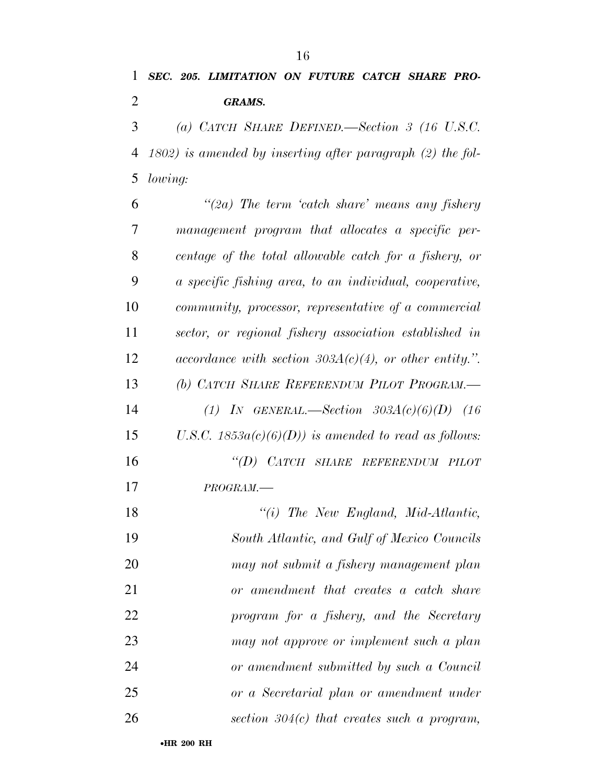*SEC. 205. LIMITATION ON FUTURE CATCH SHARE PRO-GRAMS.* 

 *(a) CATCH SHARE DEFINED.—Section 3 (16 U.S.C. 1802) is amended by inserting after paragraph (2) the fol-lowing:* 

 *''(2a) The term 'catch share' means any fishery management program that allocates a specific per- centage of the total allowable catch for a fishery, or a specific fishing area, to an individual, cooperative, community, processor, representative of a commercial sector, or regional fishery association established in accordance with section 303A(c)(4), or other entity.''. (b) CATCH SHARE REFERENDUM PILOT PROGRAM.— (1) IN GENERAL.—Section 303A(c)(6)(D) (16 U.S.C. 1853a(c)(6)(D)) is amended to read as follows: ''(D) CATCH SHARE REFERENDUM PILOT PROGRAM.— ''(i) The New England, Mid-Atlantic, South Atlantic, and Gulf of Mexico Councils may not submit a fishery management plan or amendment that creates a catch share program for a fishery, and the Secretary may not approve or implement such a plan or amendment submitted by such a Council or a Secretarial plan or amendment under section 304(c) that creates such a program,*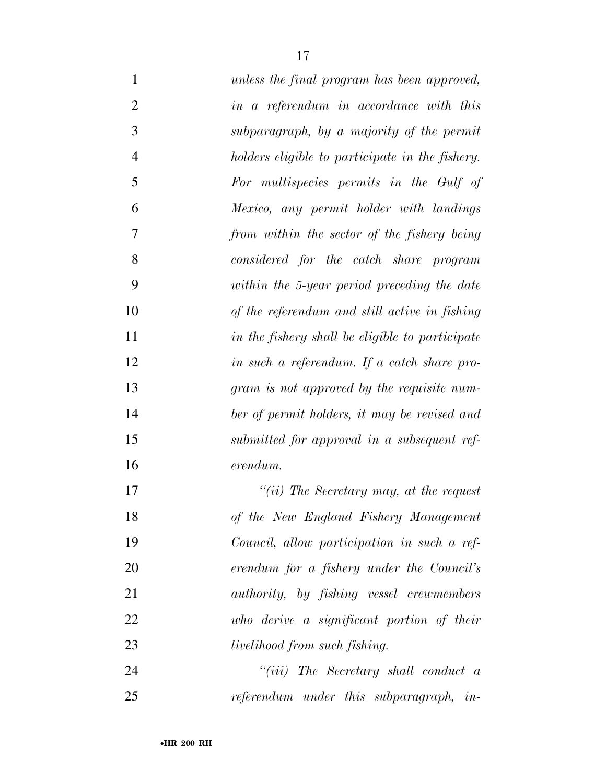| $\mathbf{1}$   | unless the final program has been approved,      |
|----------------|--------------------------------------------------|
| $\overline{2}$ | in a referendum in accordance with this          |
| 3              | subparagraph, by a majority of the permit        |
| $\overline{4}$ | holders eligible to participate in the fishery.  |
| 5              | For multispecies permits in the Gulf of          |
| 6              | Mexico, any permit holder with landings          |
| 7              | from within the sector of the fishery being      |
| 8              | considered for the catch share program           |
| 9              | within the 5-year period preceding the date      |
| 10             | of the referendum and still active in fishing    |
| 11             | in the fishery shall be eligible to participate  |
| 12             | in such a referendum. If a catch share pro-      |
| 13             | gram is not approved by the requisite num-       |
| 14             | ber of permit holders, it may be revised and     |
| 15             | submitted for approval in a subsequent ref-      |
| 16             | erendum.                                         |
| 17             | "(ii) The Secretary may, at the request          |
| 18             | of the New England Fishery Management            |
| 19             | Council, allow participation in such a ref-      |
| 20             | erendum for a fishery under the Council's        |
| 21             | <i>authority</i> , by fishing vessel crewmembers |
| 22             | who derive a significant portion of their        |
| 23             | <i>livelihood from such fishing.</i>             |
| 24             | "(iii) The Secretary shall conduct $a$           |
| 25             | referendum under this subparagraph, in-          |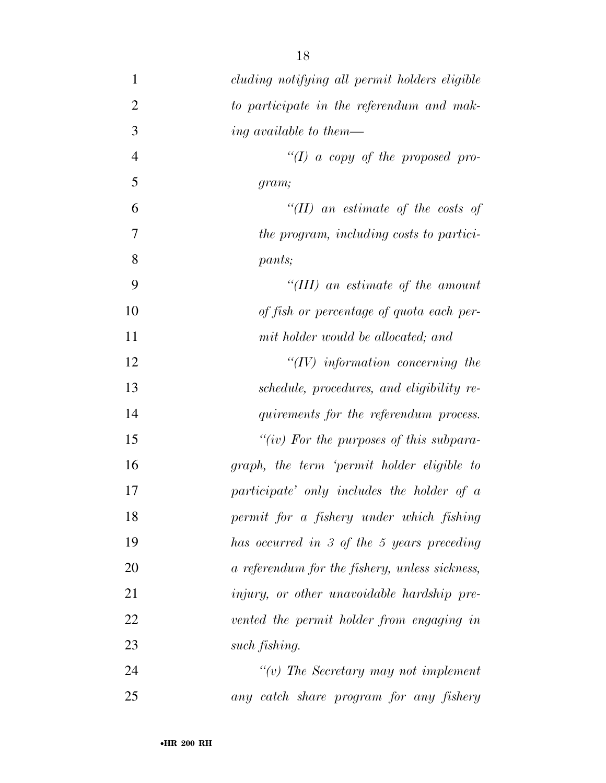| $\mathbf{1}$   | cluding notifying all permit holders eligible  |
|----------------|------------------------------------------------|
| $\overline{2}$ | to participate in the referendum and mak-      |
| 3              | ing available to them—                         |
| $\overline{4}$ | "(I) a copy of the proposed pro-               |
| 5              | gram;                                          |
| 6              | "(II) an estimate of the costs of              |
| 7              | the program, including costs to partici-       |
| 8              | pants;                                         |
| 9              | "(III) an estimate of the amount               |
| 10             | of fish or percentage of quota each per-       |
| 11             | mit holder would be allocated; and             |
| 12             | $``(IV)$ information concerning the            |
| 13             | schedule, procedures, and eligibility re-      |
| 14             | quirements for the referendum process.         |
| 15             | "(iv) For the purposes of this subpara-        |
| 16             | graph, the term 'permit holder eligible to     |
| 17             | participate' only includes the holder of a     |
| 18             | permit for a fishery under which fishing       |
| 19             | has occurred in 3 of the 5 years preceding     |
| 20             | a referendum for the fishery, unless sickness, |
| 21             | injury, or other unavoidable hardship pre-     |
| 22             | vented the permit holder from engaging in      |
| 23             | such fishing.                                  |
| 24             | $\lq\lq(v)$ The Secretary may not implement    |
| 25             | any catch share program for any fishery        |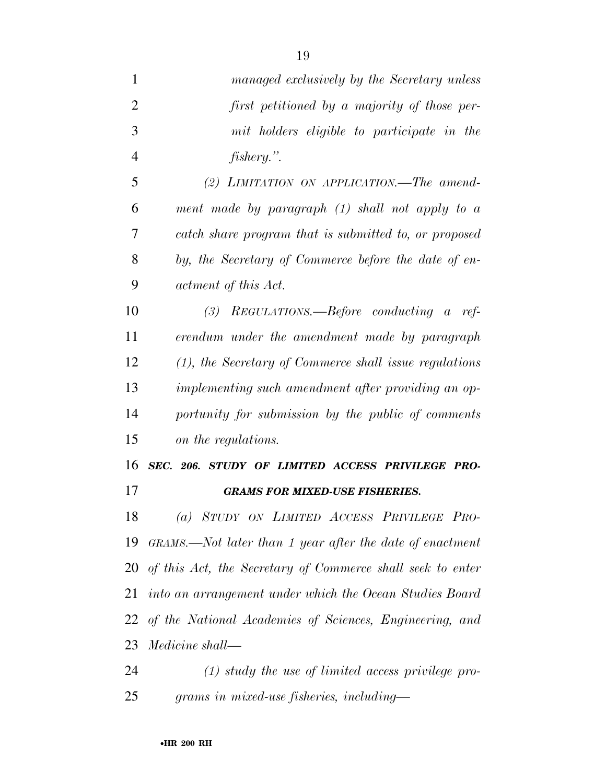- *managed exclusively by the Secretary unless first petitioned by a majority of those per- mit holders eligible to participate in the fishery.''. (2) LIMITATION ON APPLICATION.—The amend- ment made by paragraph (1) shall not apply to a catch share program that is submitted to, or proposed by, the Secretary of Commerce before the date of en- actment of this Act. (3) REGULATIONS.—Before conducting a ref- erendum under the amendment made by paragraph (1), the Secretary of Commerce shall issue regulations implementing such amendment after providing an op- portunity for submission by the public of comments on the regulations. SEC. 206. STUDY OF LIMITED ACCESS PRIVILEGE PRO- GRAMS FOR MIXED-USE FISHERIES. (a) STUDY ON LIMITED ACCESS PRIVILEGE PRO- GRAMS.—Not later than 1 year after the date of enactment of this Act, the Secretary of Commerce shall seek to enter into an arrangement under which the Ocean Studies Board*
- *of the National Academies of Sciences, Engineering, and Medicine shall—*
- *(1) study the use of limited access privilege pro-grams in mixed-use fisheries, including—*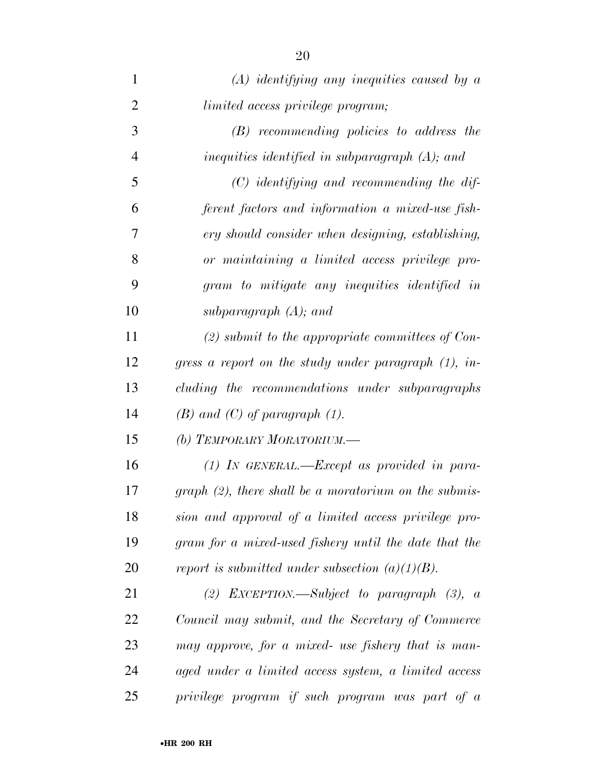| 1              | $(A)$ identifying any inequities caused by a             |
|----------------|----------------------------------------------------------|
| $\overline{2}$ | limited access privilege program;                        |
| 3              | $(B)$ recommending policies to address the               |
| 4              | inequities identified in subparagraph $(A)$ ; and        |
| 5              | $(C)$ identifying and recommending the dif-              |
| 6              | ferent factors and information a mixed-use fish-         |
| 7              | ery should consider when designing, establishing,        |
| 8              | or maintaining a limited access privilege pro-           |
| 9              | gram to mitigate any inequities identified in            |
| 10             | subparagraph $(A)$ ; and                                 |
| 11             | $(2)$ submit to the appropriate committees of Con-       |
| 12             | gress a report on the study under paragraph $(1)$ , in-  |
| 13             | cluding the recommendations under subparagraphs          |
| 14             | $(B)$ and $(C)$ of paragraph $(1)$ .                     |
| 15             | (b) TEMPORARY MORATORIUM.—                               |
| 16             | $(1)$ IN GENERAL.—Except as provided in para-            |
| 17             | $graph (2)$ , there shall be a moratorium on the submis- |
| 18             | sion and approval of a limited access privilege pro-     |
| 19             | gram for a mixed-used fishery until the date that the    |
| 20             | report is submitted under subsection $(a)(1)(B)$ .       |
| 21             | (2) EXCEPTION.—Subject to paragraph $(3)$ , a            |
| 22             | Council may submit, and the Secretary of Commerce        |
| 23             | may approve, for a mixed- use fishery that is man-       |
| 24             | aged under a limited access system, a limited access     |
| 25             | privilege program if such program was part of a          |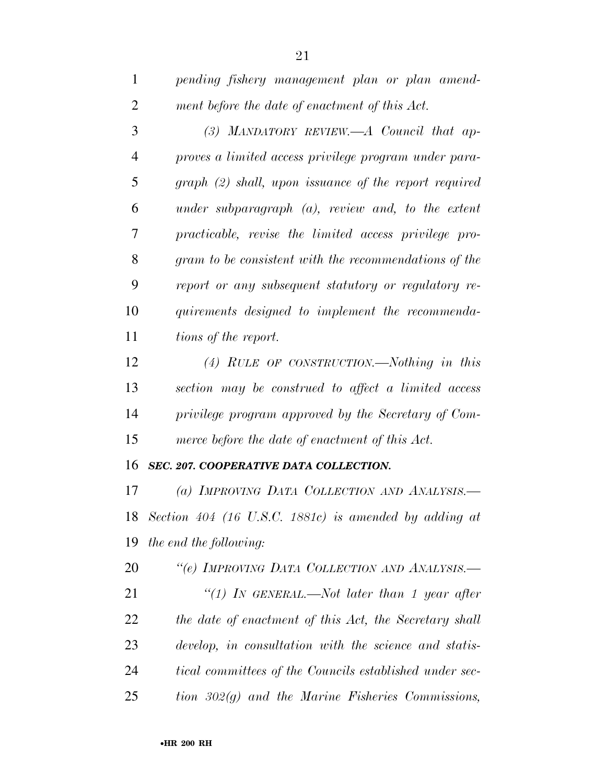| $\mathbf{1}$   | pending fishery management plan or plan amend-           |
|----------------|----------------------------------------------------------|
| $\overline{2}$ | ment before the date of enactment of this Act.           |
| 3              | (3) MANDATORY REVIEW.—A Council that ap-                 |
| 4              | proves a limited access privilege program under para-    |
| 5              | $graph (2) shall, upon is suance of the report required$ |
| 6              | under subparagraph $(a)$ , review and, to the extent     |
| 7              | practicable, revise the limited access privilege pro-    |
| 8              | gram to be consistent with the recommendations of the    |
| 9              | report or any subsequent statutory or regulatory re-     |
| 10             | quirements designed to implement the recommenda-         |
| 11             | tions of the report.                                     |
| 12             | (4) RULE OF CONSTRUCTION.—Nothing in this                |
| 13             | section may be construed to affect a limited access      |
| 14             | privilege program approved by the Secretary of Com-      |
| 15             | merce before the date of enactment of this Act.          |
| 16             | SEC. 207. COOPERATIVE DATA COLLECTION.                   |
| 17             | (a) IMPROVING DATA COLLECTION AND ANALYSIS.-             |
|                | 18 Section 404 (16 U.S.C. 1881c) is amended by adding at |
| 19             | the end the following:                                   |
| 20             | "(e) IMPROVING DATA COLLECTION AND ANALYSIS.-            |
| 21             | "(1) In GENERAL.—Not later than 1 year after             |
| 22             | the date of enactment of this Act, the Secretary shall   |
| 23             | develop, in consultation with the science and statis-    |
| 24             | tical committees of the Councils established under sec-  |

*tion 302(g) and the Marine Fisheries Commissions,*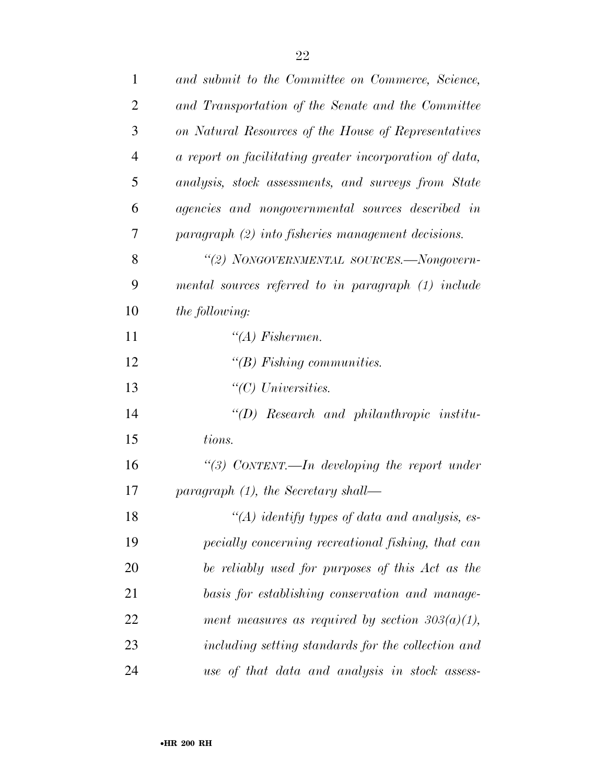| 1              | and submit to the Committee on Commerce, Science,       |
|----------------|---------------------------------------------------------|
| $\overline{2}$ | and Transportation of the Senate and the Committee      |
| 3              | on Natural Resources of the House of Representatives    |
| 4              | a report on facilitating greater incorporation of data, |
| 5              | analysis, stock assessments, and surveys from State     |
| 6              | agencies and nongovernmental sources described in       |
| 7              | $paragnph (2) into fisheries management decisions.$     |
| 8              | "(2) NONGOVERNMENTAL SOURCES.-Nongovern-                |
| 9              | mental sources referred to in paragraph (1) include     |
| 10             | the following:                                          |
| 11             | $\lq (A)$ Fishermen.                                    |
| 12             | " $(B)$ Fishing communities.                            |
| 13             | $\lq\lq C$ Universities.                                |
| 14             | $\lq (D)$ Research and philanthropic institu-           |
| 15             | tions.                                                  |
| 16             | "(3) CONTENT.—In developing the report under            |
| 17             | paragraph $(1)$ , the Secretary shall—                  |
| 18             | "(A) identify types of data and analysis, es-           |
| 19             | pecially concerning recreational fishing, that can      |
| <b>20</b>      | be reliably used for purposes of this Act as the        |
| 21             | basis for establishing conservation and manage-         |
| 22             | ment measures as required by section $303(a)(1)$ ,      |
| 23             | including setting standards for the collection and      |
| 24             | use of that data and analysis in stock assess-          |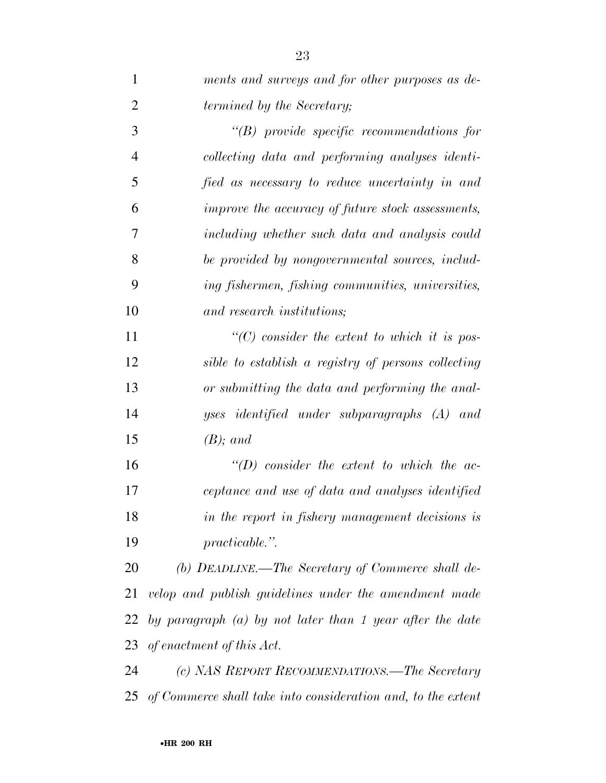| $\mathbf{1}$   | ments and surveys and for other purposes as de-              |
|----------------|--------------------------------------------------------------|
| $\overline{2}$ | <i>termined by the Secretary;</i>                            |
| 3              | $\lq\lq B$ ) provide specific recommendations for            |
| $\overline{4}$ | collecting data and performing analyses identi-              |
| 5              | fied as necessary to reduce uncertainty in and               |
| 6              | improve the accuracy of future stock assessments,            |
| 7              | including whether such data and analysis could               |
| 8              | be provided by nongovernmental sources, includ-              |
| 9              | ing fishermen, fishing communities, universities,            |
| 10             | and research institutions;                                   |
| 11             | $\lq\lq$ consider the extent to which it is pos-             |
| 12             | sible to establish a registry of persons collecting          |
| 13             | or submitting the data and performing the anal-              |
| 14             | yses identified under subparagraphs (A) and                  |
| 15             | $(B)$ ; and                                                  |
| 16             | $\lq (D)$ consider the extent to which the ac-               |
| 17             | ceptance and use of data and analyses identified             |
| 18             | in the report in fishery management decisions is             |
| 19             | $practicable.$ ".                                            |
| 20             | (b) DEADLINE.—The Secretary of Commerce shall de-            |
| 21             | velop and publish guidelines under the amendment made        |
| 22             | by paragraph $(a)$ by not later than 1 year after the date   |
| 23             | of enactment of this Act.                                    |
| 24             | (c) NAS REPORT RECOMMENDATIONS.—The Secretary                |
| 25             | of Commerce shall take into consideration and, to the extent |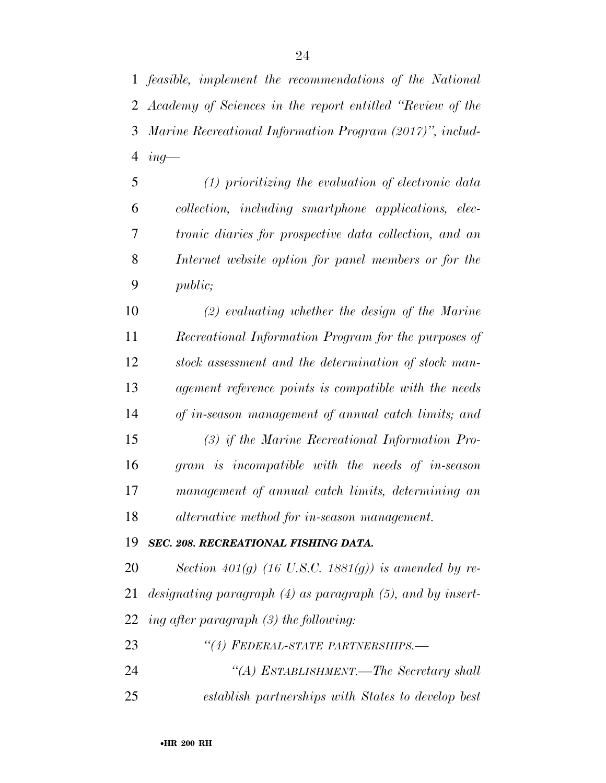*ing—* 

 *(1) prioritizing the evaluation of electronic data collection, including smartphone applications, elec- tronic diaries for prospective data collection, and an Internet website option for panel members or for the public;* 

 *(2) evaluating whether the design of the Marine Recreational Information Program for the purposes of stock assessment and the determination of stock man- agement reference points is compatible with the needs of in-season management of annual catch limits; and (3) if the Marine Recreational Information Pro-gram is incompatible with the needs of in-season* 

 *management of annual catch limits, determining an alternative method for in-season management.* 

### *SEC. 208. RECREATIONAL FISHING DATA.*

 *Section 401(g) (16 U.S.C. 1881(g)) is amended by re- designating paragraph (4) as paragraph (5), and by insert-ing after paragraph (3) the following:* 

*''(4) FEDERAL-STATE PARTNERSHIPS.—* 

 *''(A) ESTABLISHMENT.—The Secretary shall establish partnerships with States to develop best*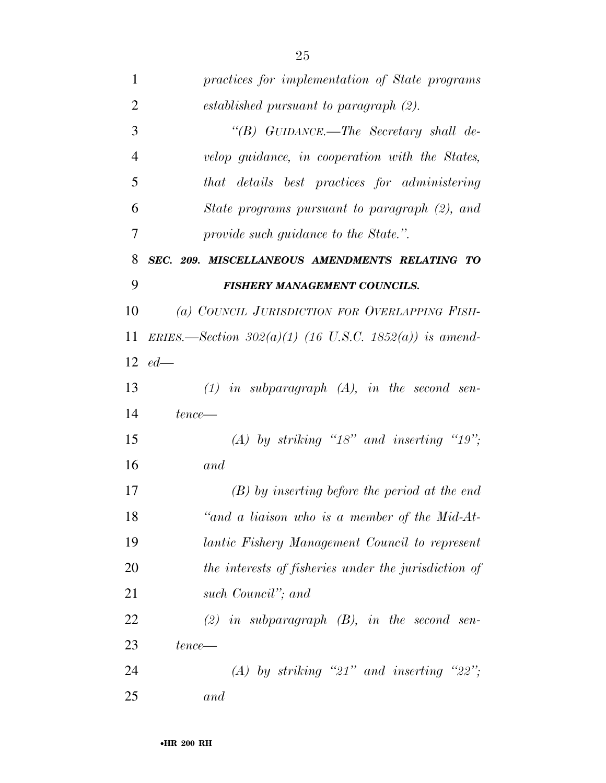| $\mathbf{1}$   | practices for implementation of State programs           |
|----------------|----------------------------------------------------------|
| $\overline{2}$ | established pursuant to paragraph (2).                   |
| 3              | "(B) GUIDANCE.—The Secretary shall de-                   |
| 4              | velop guidance, in cooperation with the States,          |
| 5              | that details best practices for administering            |
| 6              | State programs pursuant to paragraph (2), and            |
| 7              | provide such guidance to the State.".                    |
| 8              | SEC. 209. MISCELLANEOUS AMENDMENTS RELATING TO           |
| 9              | <b>FISHERY MANAGEMENT COUNCILS.</b>                      |
| 10             | (a) COUNCIL JURISDICTION FOR OVERLAPPING FISH-           |
| 11             | ERIES.—Section $302(a)(1)$ (16 U.S.C. 1852(a)) is amend- |
|                | 12 $ed-$                                                 |
| 13             | $(1)$ in subparagraph $(A)$ , in the second sen-         |
| 14             | $tence$ —                                                |
| 15             | (A) by striking "18" and inserting "19";                 |
| 16             | and                                                      |
| 17             | $(B)$ by inserting before the period at the end          |
| 18             | "and a liaison who is a member of the Mid-At-            |
| 19             | lantic Fishery Management Council to represent           |
| 20             | the interests of fisheries under the jurisdiction of     |
| 21             | such Council"; and                                       |
| 22             | $(2)$ in subparagraph $(B)$ , in the second sen-         |
| 23             | $tence$ —                                                |
| 24             | (A) by striking "21" and inserting "22";                 |
| 25             | and                                                      |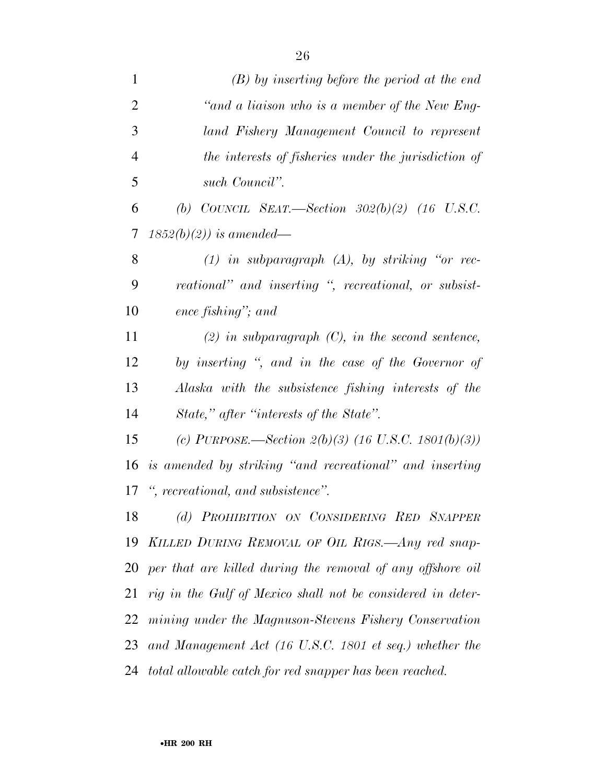| $\mathbf{1}$   | $(B)$ by inserting before the period at the end             |
|----------------|-------------------------------------------------------------|
| $\overline{2}$ | "and a liaison who is a member of the New Eng-              |
| 3              | land Fishery Management Council to represent                |
| $\overline{4}$ | the interests of fisheries under the jurisdiction of        |
| 5              | such Council".                                              |
| 6              | (b) COUNCIL SEAT.—Section $302(b)(2)$ (16 U.S.C.            |
| 7              | $1852(b)(2)$ ) is amended—                                  |
| 8              | $(1)$ in subparagraph $(A)$ , by striking "or rec-          |
| 9              | reational" and inserting ", recreational, or subsist-       |
| 10             | ence fishing"; and                                          |
| 11             | $(2)$ in subparagraph $(C)$ , in the second sentence,       |
| 12             | by inserting ", and in the case of the Governor of          |
| 13             | Alaska with the subsistence fishing interests of the        |
| 14             | State," after "interests of the State".                     |
| 15             | (c) PURPOSE.—Section $2(b)(3)$ (16 U.S.C. 1801(b)(3))       |
| 16             | is amended by striking "and recreational" and inserting     |
| 17             | ", recreational, and subsistence".                          |
| 18             | (d) PROHIBITION ON CONSIDERING RED SNAPPER                  |
| 19             | KILLED DURING REMOVAL OF OIL RIGS.—Any red snap-            |
| 20             | per that are killed during the removal of any offshore oil  |
| 21             | rig in the Gulf of Mexico shall not be considered in deter- |
|                | 22 mining under the Magnuson-Stevens Fishery Conservation   |
| 23             | and Management Act (16 U.S.C. 1801 et seq.) whether the     |
|                | 24 total allowable catch for red snapper has been reached.  |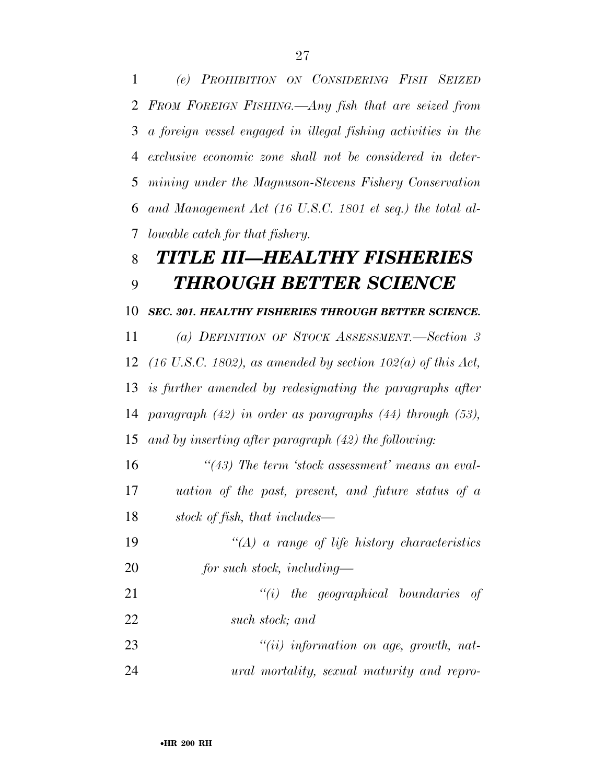*(e) PROHIBITION ON CONSIDERING FISH SEIZED FROM FOREIGN FISHING.—Any fish that are seized from a foreign vessel engaged in illegal fishing activities in the exclusive economic zone shall not be considered in deter- mining under the Magnuson-Stevens Fishery Conservation and Management Act (16 U.S.C. 1801 et seq.) the total al-lowable catch for that fishery.* 

## *TITLE III—HEALTHY FISHERIES THROUGH BETTER SCIENCE*

### *SEC. 301. HEALTHY FISHERIES THROUGH BETTER SCIENCE.*

 *(a) DEFINITION OF STOCK ASSESSMENT.—Section 3 (16 U.S.C. 1802), as amended by section 102(a) of this Act, is further amended by redesignating the paragraphs after paragraph (42) in order as paragraphs (44) through (53), and by inserting after paragraph (42) the following:* 

 *''(43) The term 'stock assessment' means an eval- uation of the past, present, and future status of a stock of fish, that includes—* 

 *''(A) a range of life history characteristics for such stock, including—* 

 *''(i) the geographical boundaries of such stock; and* 

 *''(ii) information on age, growth, nat-ural mortality, sexual maturity and repro-*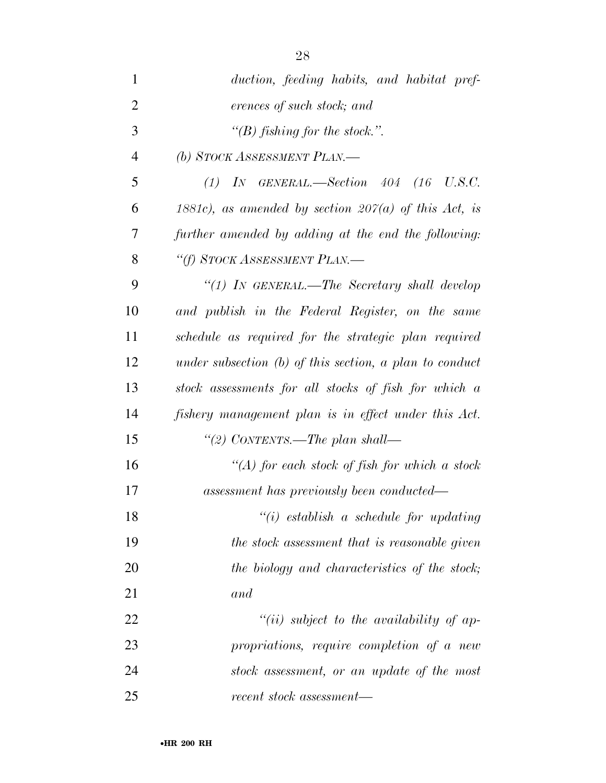| $\mathbf{1}$   | duction, feeding habits, and habitat pref-                |
|----------------|-----------------------------------------------------------|
| $\overline{2}$ | erences of such stock; and                                |
| 3              | "(B) fishing for the stock.".                             |
| $\overline{4}$ | (b) STOCK ASSESSMENT PLAN.—                               |
| 5              | $(1)$ In GENERAL.—Section 404 (16 U.S.C.                  |
| 6              | 1881c), as amended by section $207(a)$ of this Act, is    |
| 7              | further amended by adding at the end the following:       |
| 8              | "(f) STOCK ASSESSMENT PLAN.—                              |
| 9              | "(1) IN GENERAL.—The Secretary shall develop              |
| 10             | and publish in the Federal Register, on the same          |
| 11             | schedule as required for the strategic plan required      |
| 12             | under subsection $(b)$ of this section, a plan to conduct |
| 13             | stock assessments for all stocks of fish for which a      |
| 14             | fishery management plan is in effect under this Act.      |
| 15             | "(2) CONTENTS.—The plan shall—                            |
| 16             | "(A) for each stock of fish for which a stock             |
| 17             | assessment has previously been conducted—                 |
| 18             | $``(i)$ establish a schedule for updating                 |
| 19             | the stock assessment that is reasonable given             |
| 20             | the biology and characteristics of the stock;             |
| 21             | and                                                       |
| 22             | $``(ii)$ subject to the availability of ap-               |
| 23             | propriations, require completion of a new                 |
| 24             | stock assessment, or an update of the most                |
| 25             | recent stock assessment-                                  |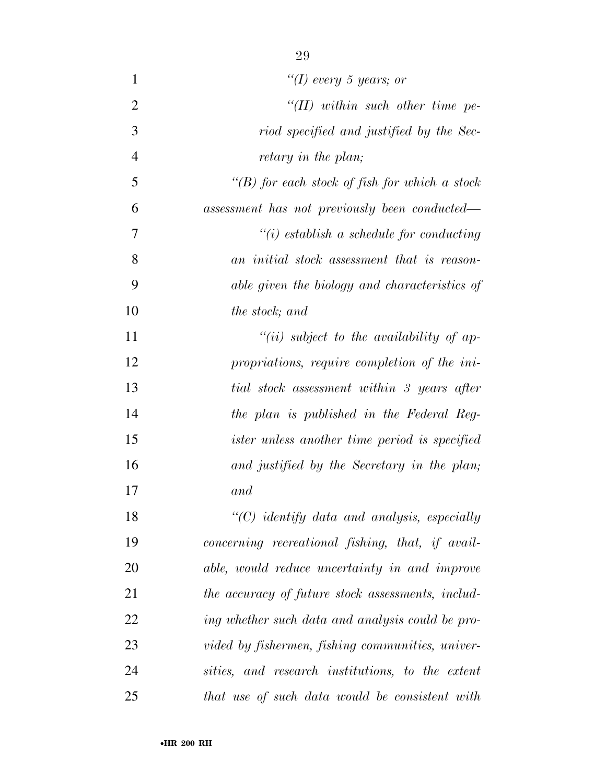| $\mathbf{1}$   | "(I) every 5 years; or                                        |
|----------------|---------------------------------------------------------------|
| $\overline{2}$ | $H(H)$ within such other time pe-                             |
| 3              | riod specified and justified by the Sec-                      |
| $\overline{4}$ | retary in the plan;                                           |
| 5              | "(B) for each stock of fish for which a stock                 |
| 6              | assessment has not previously been conducted—                 |
| 7              | $\lq\lq(i)$ establish a schedule for conducting               |
| 8              | an initial stock assessment that is reason-                   |
| 9              | able given the biology and characteristics of                 |
| 10             | the stock; and                                                |
| 11             | $``(ii)$ subject to the availability of ap-                   |
| 12             | propriations, require completion of the ini-                  |
| 13             | tial stock assessment within 3 years after                    |
| 14             | the plan is published in the Federal Reg-                     |
| 15             | <i>ister unless another time period is specified</i>          |
| 16             | and justified by the Secretary in the plan;                   |
| 17             | and                                                           |
| 18             | $\lq$ <sup>"</sup> (C) identify data and analysis, especially |
| 19             | concerning recreational fishing, that, if avail-              |
| 20             | able, would reduce uncertainty in and improve                 |
| 21             | the accuracy of future stock assessments, includ-             |
| 22             | ing whether such data and analysis could be pro-              |
| 23             | vided by fishermen, fishing communities, univer-              |
| 24             | sities, and research institutions, to the extent              |
| 25             | that use of such data would be consistent with                |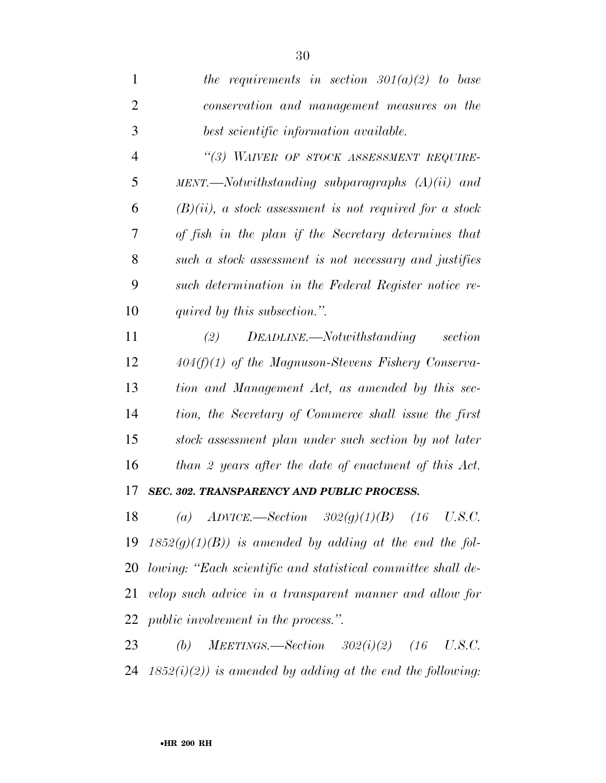| $\mathbf{1}$   | the requirements in section $301(a)(2)$ to base            |
|----------------|------------------------------------------------------------|
| $\overline{2}$ | conservation and management measures on the                |
| 3              | best scientific information available.                     |
| $\overline{4}$ | "(3) WAIVER OF STOCK ASSESSMENT REQUIRE-                   |
| 5              |                                                            |
| 6              | $(B)(ii)$ , a stock assessment is not required for a stock |
| 7              | of fish in the plan if the Secretary determines that       |
| 8              | such a stock assessment is not necessary and justifies     |
| 9              | such determination in the Federal Register notice re-      |
| 10             | quired by this subsection.".                               |
|                |                                                            |
| 11             | $DEADLINE. \text{\textendash}$<br>section<br>(2)           |
| 12             | $404(f)(1)$ of the Magnuson-Stevens Fishery Conserva-      |
| 13             | tion and Management Act, as amended by this sec-           |
| 14             | tion, the Secretary of Commerce shall issue the first      |
| 15             | stock assessment plan under such section by not later      |
| 16             | than 2 years after the date of enactment of this Act.      |
| 17             | SEC. 302. TRANSPARENCY AND PUBLIC PROCESS.                 |
| 18             | (a) $ADVICE. - Section 302(g)(1)(B) (16)$<br>U.S.C.        |
| 19             | $1852(g)(1)(B)$ ) is amended by adding at the end the fol- |

 *velop such advice in a transparent manner and allow for public involvement in the process.''.* 

 *(b) MEETINGS.—Section 302(i)(2) (16 U.S.C. 1852(i)(2)) is amended by adding at the end the following:*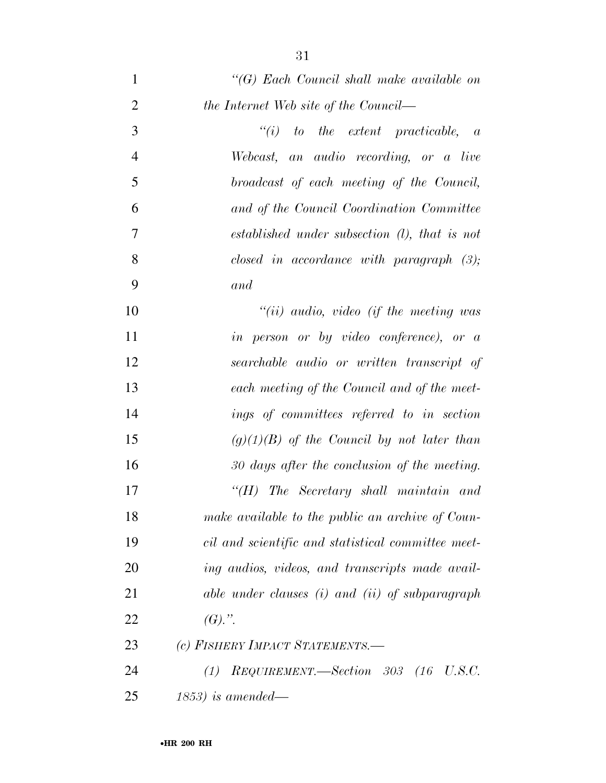| $\mathbf{1}$   | $\lq\lq (G)$ Each Council shall make available on  |
|----------------|----------------------------------------------------|
| $\overline{2}$ | the Internet Web site of the Council—              |
| 3              | $``(i)$ to the extent practicable, a               |
| $\overline{4}$ | Webcast, an audio recording, or a live             |
| 5              | broadcast of each meeting of the Council,          |
| 6              | and of the Council Coordination Committee          |
| 7              | established under subsection $(l)$ , that is not   |
| 8              | closed in accordance with paragraph $(3)$ ;        |
| 9              | and                                                |
| 10             | $``(ii)$ audio, video (if the meeting was          |
| 11             | in person or by video conference), or a            |
| 12             | searchable audio or written transcript of          |
| 13             | each meeting of the Council and of the meet-       |
| 14             | ings of committees referred to in section          |
| 15             | $(g)(1)(B)$ of the Council by not later than       |
| 16             | 30 days after the conclusion of the meeting.       |
| 17             | $H$ ) The Secretary shall maintain and             |
| 18             | make available to the public an archive of Coun-   |
| 19             | cil and scientific and statistical committee meet- |
| 20             | ing audios, videos, and transcripts made avail-    |
| 21             | able under clauses (i) and (ii) of subparagraph    |
| 22             | $(G).$ ".                                          |
| 23             | (c) FISHERY IMPACT STATEMENTS.-                    |
| 24             | REQUIREMENT.—Section 303 (16 U.S.C.<br>(1)         |
| 25             | $(1853)$ is amended—                               |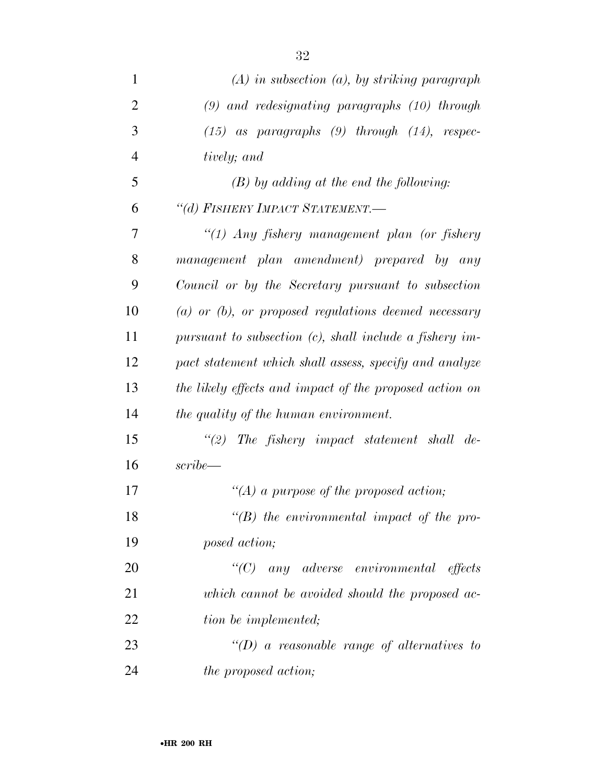| $\mathbf{1}$   | $(A)$ in subsection $(a)$ , by striking paragraph          |
|----------------|------------------------------------------------------------|
| $\overline{2}$ | $(9)$ and redesignating paragraphs $(10)$ through          |
| 3              | $(15)$ as paragraphs $(9)$ through $(14)$ , respec-        |
| $\overline{4}$ | tively; and                                                |
| 5              | $(B)$ by adding at the end the following:                  |
| 6              | "(d) FISHERY IMPACT STATEMENT.-                            |
| 7              | $\lq(1)$ Any fishery management plan (or fishery           |
| 8              | management plan amendment) prepared by any                 |
| 9              | Council or by the Secretary pursuant to subsection         |
| 10             | $(a)$ or $(b)$ , or proposed regulations deemed necessary  |
| 11             | pursuant to subsection $(c)$ , shall include a fishery im- |
| 12             | pact statement which shall assess, specify and analyze     |
| 13             | the likely effects and impact of the proposed action on    |
| 14             | the quality of the human environment.                      |
| 15             | $\lq(2)$ The fishery impact statement shall de-            |
| 16             | $script-$                                                  |
| 17             | "(A) a purpose of the proposed action;                     |
| 18             | $\lq\lq(B)$ the environmental impact of the pro-           |
| 19             | posed action;                                              |
| 20             | $\lq (C)$<br>any adverse environmental effects             |
| 21             | which cannot be avoided should the proposed ac-            |
| 22             | tion be implemented;                                       |
| 23             | "(D) a reasonable range of alternatives to                 |
| 24             | <i>the proposed action;</i>                                |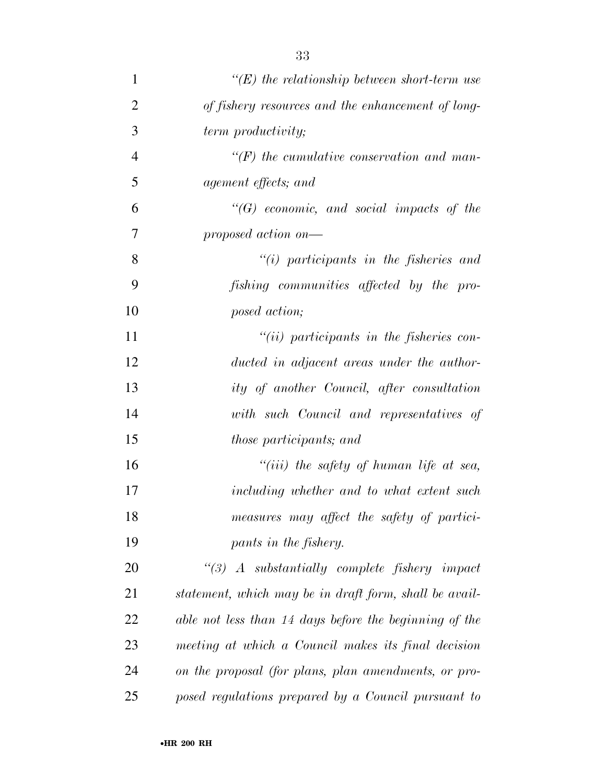| $\mathbf{1}$   | $\lq\lq(E)$ the relationship between short-term use    |
|----------------|--------------------------------------------------------|
| $\overline{2}$ | of fishery resources and the enhancement of long-      |
| 3              | term productivity;                                     |
| $\overline{4}$ | $\lq\lq(F)$ the cumulative conservation and man-       |
| 5              | agement effects; and                                   |
| 6              | $\lq\lq (G)$ economic, and social impacts of the       |
| 7              | proposed action on—                                    |
| 8              | $``(i)$ participants in the fisheries and              |
| 9              | fishing communities affected by the pro-               |
| 10             | posed action;                                          |
| 11             | $``(ii)$ participants in the fisheries con-            |
| 12             | ducted in adjacent areas under the author-             |
| 13             | ity of another Council, after consultation             |
| 14             | with such Council and representatives of               |
| 15             | those participants; and                                |
| 16             | "(iii) the safety of human life at sea,                |
| 17             | including whether and to what extent such              |
| 18             | measures may affect the safety of partici-             |
| 19             | pants in the fishery.                                  |
| 20             | $\lq(3)$ A substantially complete fishery impact       |
| 21             | statement, which may be in draft form, shall be avail- |
| 22             | able not less than 14 days before the beginning of the |
| 23             | meeting at which a Council makes its final decision    |
| 24             | on the proposal (for plans, plan amendments, or pro-   |
| 25             | posed regulations prepared by a Council pursuant to    |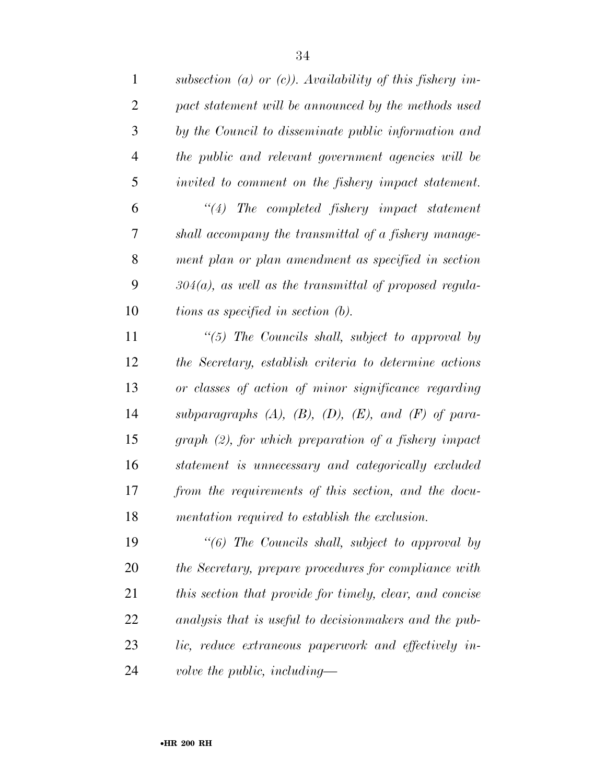| $\mathbf{1}$   | subsection (a) or (c)). Availability of this fishery im-         |
|----------------|------------------------------------------------------------------|
| $\overline{2}$ | pact statement will be announced by the methods used             |
| 3              | by the Council to disseminate public information and             |
| $\overline{4}$ | the public and relevant government agencies will be              |
| 5              | invited to comment on the fishery impact statement.              |
| 6              | $"(4)$ The completed fishery impact statement                    |
| 7              | shall accompany the transmittal of a fishery manage-             |
| 8              | ment plan or plan amendment as specified in section              |
| 9              | $304(a)$ , as well as the transmittal of proposed regula-        |
| 10             | tions as specified in section (b).                               |
| 11             | " $(5)$ The Councils shall, subject to approval by               |
| 12             | the Secretary, establish criteria to determine actions           |
| 13             | or classes of action of minor significance regarding             |
| 14             | subparagraphs $(A)$ , $(B)$ , $(D)$ , $(E)$ , and $(F)$ of para- |
| 15             | graph (2), for which preparation of a fishery impact             |
| 16             | statement is unnecessary and categorically excluded              |
| 17             | from the requirements of this section, and the docu-             |
| 18             | mentation required to establish the exclusion.                   |
| 19             | $\lq(6)$ The Councils shall, subject to approval by              |
| 20             | the Secretary, prepare procedures for compliance with            |
| 21             | this section that provide for timely, clear, and concise         |
| 22             | analysis that is useful to decision makers and the pub-          |
| 23             | lic, reduce extraneous paperwork and effectively in-             |
| 24             | volve the public, including—                                     |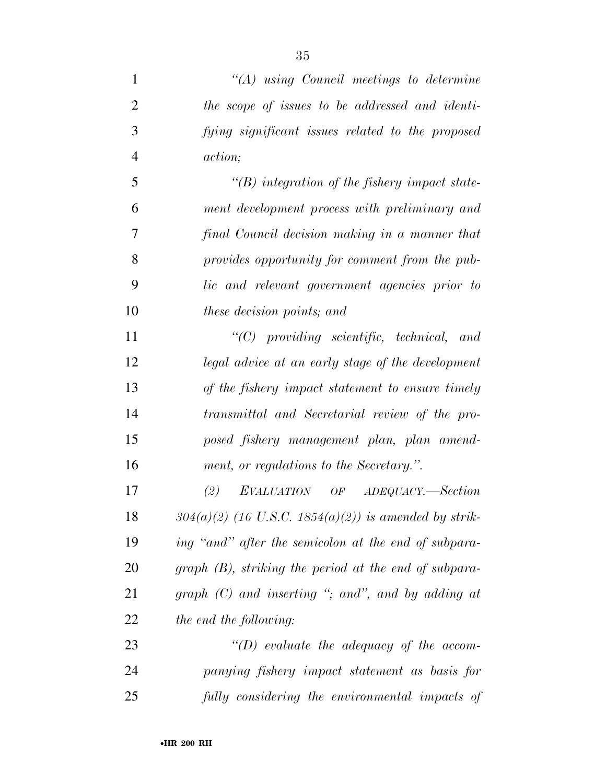| $\mathbf{1}$   | $\lq (A)$ using Council meetings to determine           |
|----------------|---------------------------------------------------------|
| $\overline{2}$ | the scope of issues to be addressed and identi-         |
| 3              | fying significant issues related to the proposed        |
| $\overline{4}$ | action;                                                 |
| 5              | $\lq (B)$ integration of the fishery impact state-      |
| 6              | ment development process with preliminary and           |
| 7              | final Council decision making in a manner that          |
| 8              | provides opportunity for comment from the pub-          |
| 9              | lic and relevant government agencies prior to           |
| 10             | these decision points; and                              |
| 11             | $\lq\lq C$ providing scientific, technical, and         |
| 12             | legal advice at an early stage of the development       |
| 13             | of the fishery impact statement to ensure timely        |
| 14             | transmittal and Secretarial review of the pro-          |
| 15             | posed fishery management plan, plan amend-              |
| 16             | ment, or regulations to the Secretary.".                |
| 17             | (2)<br>EVALUATION OF ADEQUACY.—Section                  |
| 18             | $304(a)(2)$ (16 U.S.C. 1854(a)(2)) is amended by strik- |
| 19             | ing "and" after the semicolon at the end of subpara-    |
| 20             | graph (B), striking the period at the end of subpara-   |
| 21             | graph $(C)$ and inserting "; and", and by adding at     |
| 22             | the end the following:                                  |
| 23             | $\lq (D)$ evaluate the adequacy of the accom-           |
| 24             | panying fishery impact statement as basis for           |
| 25             | fully considering the environmental impacts of          |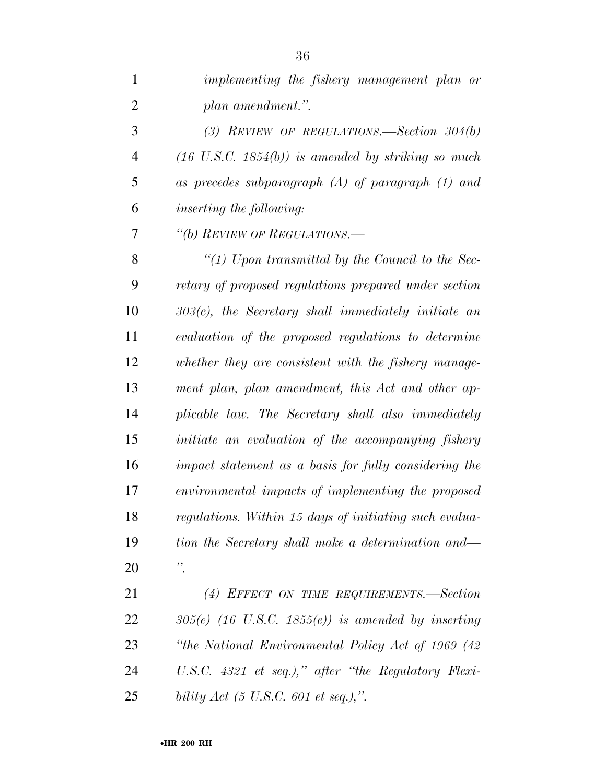| $\mathbf{1}$   | implementing the fishery management plan or                   |
|----------------|---------------------------------------------------------------|
| $\mathbf{2}$   | plan amendment.".                                             |
| 3              | (3) REVIEW OF REGULATIONS.—Section $304(b)$                   |
| $\overline{4}$ | $(16 \text{ U.S.C. } 1854(b))$ is amended by striking so much |
| 5              | as precedes subparagraph $(A)$ of paragraph $(1)$ and         |
| 6              | <i>inserting the following:</i>                               |
| 7              | "(b) REVIEW OF REGULATIONS.—                                  |
| 8              | "(1) Upon transmittal by the Council to the Sec-              |
| 9              | retary of proposed regulations prepared under section         |
| 10             | $303(c)$ , the Secretary shall immediately initiate an        |
| 11             | evaluation of the proposed regulations to determine           |
| 12             | whether they are consistent with the fishery manage-          |
| 13             | ment plan, plan amendment, this Act and other ap-             |
| 14             | plicable law. The Secretary shall also immediately            |
| 15             | initiate an evaluation of the accompanying fishery            |
| 16             | impact statement as a basis for fully considering the         |
| 17             | environmental impacts of implementing the proposed            |
| 18             | regulations. Within 15 days of initiating such evalua-        |
| 19             | tion the Secretary shall make a determination and—            |
| 20             | $\ddot{\cdot}$                                                |
| 21             | (4) EFFECT ON TIME REQUIREMENTS.—Section                      |
| 22             | $305(e)$ (16 U.S.C. 1855(e)) is amended by inserting          |
| 23             | "the National Environmental Policy Act of 1969 (42)           |
| 24             | U.S.C. $4321$ et seq.)," after "the Regulatory Flexi-         |
| 25             | bility Act (5 U.S.C. 601 et seq.),".                          |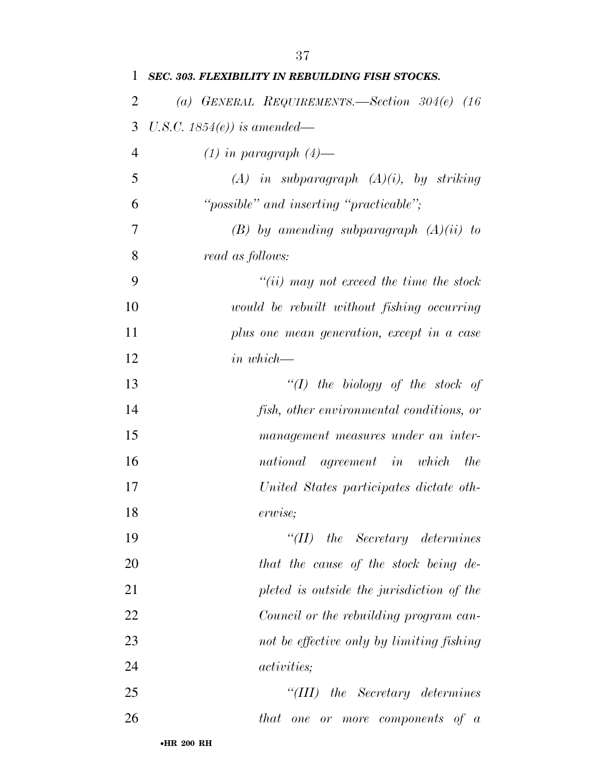| 1              | <b>SEC. 303. FLEXIBILITY IN REBUILDING FISH STOCKS.</b> |
|----------------|---------------------------------------------------------|
| $\overline{2}$ | (a) GENERAL REQUIREMENTS.—Section $304(e)$ (16)         |
| 3              | U.S.C. 1854 $(e)$ ) is amended—                         |
| $\overline{4}$ | $(1)$ in paragraph $(4)$ —                              |
| 5              | $(A)$ in subparagraph $(A)(i)$ , by striking            |
| 6              | "possible" and inserting "practicable";                 |
| 7              | $(B)$ by amending subparagraph $(A)(ii)$ to             |
| 8              | read as follows:                                        |
| 9              | $``(ii)$ may not exceed the time the stock              |
| 10             | would be rebuilt without fishing occurring              |
| 11             | plus one mean generation, except in a case              |
| 12             | $in$ which-                                             |
| 13             | $\lq (I)$ the biology of the stock of                   |
| 14             | fish, other environmental conditions, or                |
| 15             | management measures under an inter-                     |
| 16             | national agreement in which the                         |
| 17             | United States participates dictate oth-                 |
| 18             | erwise;                                                 |
| 19             | $``(II)$ the Secretary determines                       |
| 20             | that the cause of the stock being de-                   |
| 21             | pleted is outside the jurisdiction of the               |
| 22             | Council or the rebuilding program can-                  |
| 23             | not be effective only by limiting fishing               |
| 24             | <i>activities</i> ;                                     |
| 25             | $``(III)$ the Secretary determines                      |
| 26             | that one or more components of a                        |
|                |                                                         |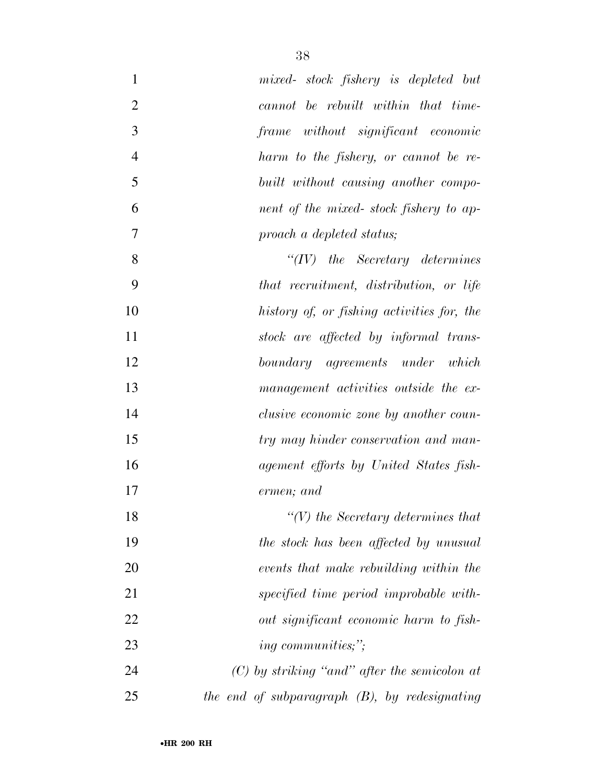| $\mathbf{1}$   | mixed- stock fishery is depleted but             |
|----------------|--------------------------------------------------|
| $\overline{2}$ | cannot be rebuilt within that time-              |
| 3              | frame without significant economic               |
| $\overline{4}$ | harm to the fishery, or cannot be re-            |
| 5              | built without causing another compo-             |
| 6              | nent of the mixed-stock fishery to ap-           |
| 7              | proach a depleted status;                        |
| 8              | $``(IV)$ the Secretary determines                |
| 9              | that recruitment, distribution, or life          |
| 10             | history of, or fishing activities for, the       |
| 11             | stock are affected by informal trans-            |
| 12             | boundary agreements under which                  |
| 13             | management activities outside the ex-            |
| 14             | clusive economic zone by another coun-           |
| 15             | try may hinder conservation and man-             |
| 16             | agement efforts by United States fish-           |
| 17             | ermen; and                                       |
| 18             | $\lq\lq(V)$ the Secretary determines that        |
| 19             | the stock has been affected by unusual           |
| 20             | events that make rebuilding within the           |
| 21             | specified time period improbable with-           |
| 22             | out significant economic harm to fish-           |
| 23             | <i>ing communities;"</i> ;                       |
| 24             | $(C)$ by striking "and" after the semicolon at   |
| 25             | the end of subparagraph $(B)$ , by redesignating |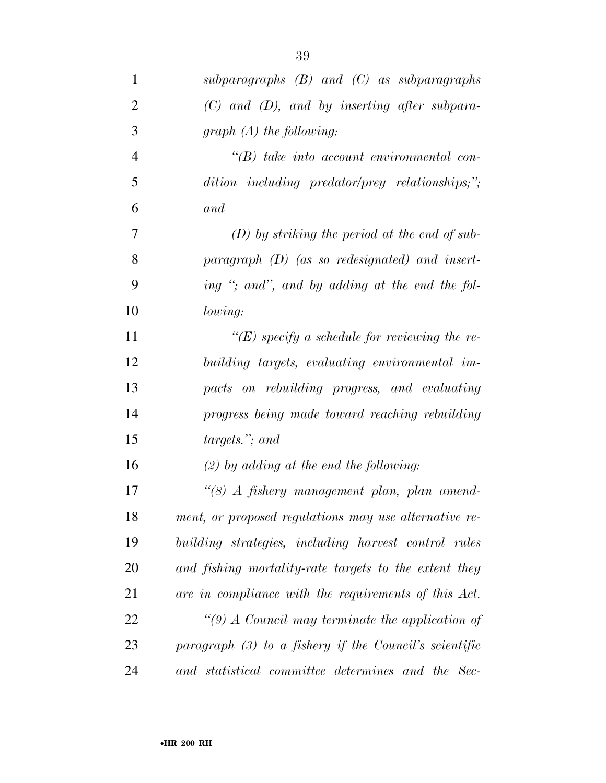| $\mathbf{1}$   | subparagraphs $(B)$ and $(C)$ as subparagraphs           |
|----------------|----------------------------------------------------------|
| $\overline{2}$ | $(C)$ and $(D)$ , and by inserting after subpara-        |
| 3              | $graph(A)$ the following:                                |
| $\overline{4}$ | $\lq\lq B$ take into account environmental con-          |
| 5              | dition including predator/prey relationships;";          |
| 6              | and                                                      |
| 7              | $(D)$ by striking the period at the end of sub-          |
| 8              | paragraph $(D)$ (as so redesignated) and insert-         |
| 9              | ing "; and", and by adding at the end the fol-           |
| 10             | lowing:                                                  |
| 11             | $\lq\lq(E)$ specify a schedule for reviewing the re-     |
| 12             | building targets, evaluating environmental im-           |
| 13             | pacts on rebuilding progress, and evaluating             |
| 14             | progress being made toward reaching rebuilding           |
| 15             | targets."; and                                           |
| 16             | $(2)$ by adding at the end the following:                |
| 17             | "(8) A fishery management plan, plan amend-              |
| 18             | ment, or proposed regulations may use alternative re-    |
| 19             | building strategies, including harvest control rules     |
| <b>20</b>      | and fishing mortality-rate targets to the extent they    |
| 21             | are in compliance with the requirements of this Act.     |
| 22             | "(9) A Council may terminate the application of          |
| 23             | paragraph $(3)$ to a fishery if the Council's scientific |
| 24             | and statistical committee determines and the Sec-        |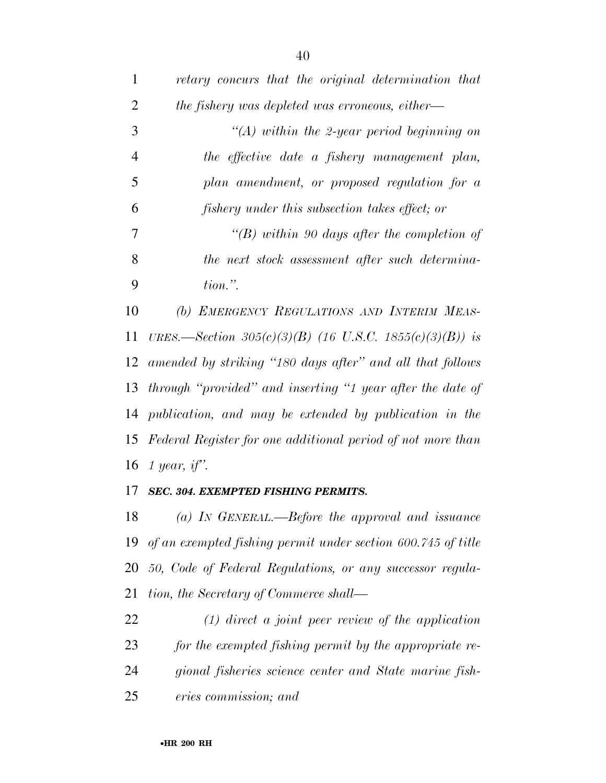| 1              | retary concurs that the original determination that         |
|----------------|-------------------------------------------------------------|
| $\overline{2}$ | the fishery was depleted was erroneous, either—             |
| 3              | $\lq (A)$ within the 2-year period beginning on             |
| $\overline{4}$ | the effective date a fishery management plan,               |
| 5              | plan amendment, or proposed regulation for a                |
| 6              | fishery under this subsection takes effect; or              |
| $\overline{7}$ | "(B) within 90 days after the completion of                 |
| 8              | the next stock assessment after such determina-             |
| 9              | $tion.$ ".                                                  |
| 10             | (b) EMERGENCY REGULATIONS AND INTERIM MEAS-                 |
| 11             | URES.—Section 305(c)(3)(B) (16 U.S.C. 1855(c)(3)(B)) is     |
| 12             | amended by striking "180 days after" and all that follows   |
| 13             | through "provided" and inserting "1 year after the date of  |
|                | 14 publication, and may be extended by publication in the   |
| 15             | Federal Register for one additional period of not more than |
|                | 16 1 year, if".                                             |
|                | 17 SEC. 304. EXEMPTED FISHING PERMITS.                      |

 *(a) IN GENERAL.—Before the approval and issuance of an exempted fishing permit under section 600.745 of title 50, Code of Federal Regulations, or any successor regula-tion, the Secretary of Commerce shall—* 

 *(1) direct a joint peer review of the application for the exempted fishing permit by the appropriate re- gional fisheries science center and State marine fish-eries commission; and*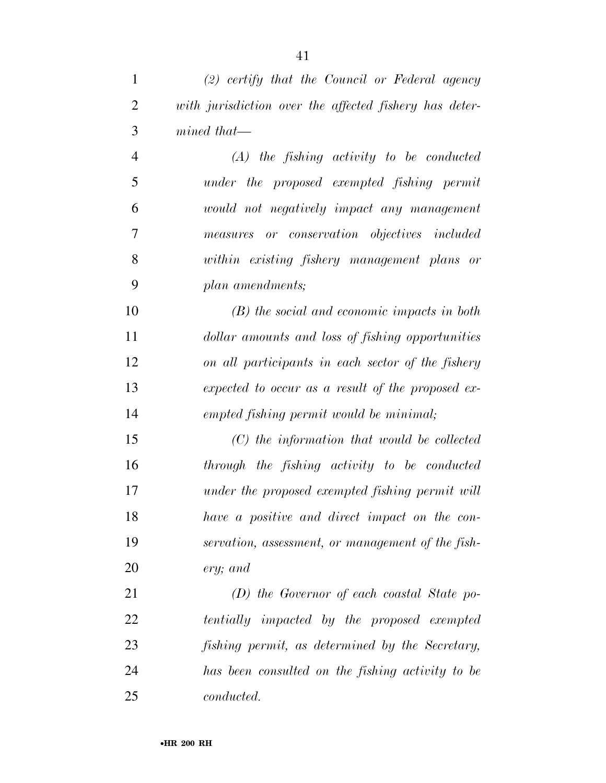| $\mathbf{1}$   | $(2)$ certify that the Council or Federal agency       |
|----------------|--------------------------------------------------------|
| $\overline{2}$ | with jurisdiction over the affected fishery has deter- |
| 3              | $mined$ that—                                          |
| $\overline{4}$ | $(A)$ the fishing activity to be conducted             |
| 5              | under the proposed exempted fishing permit             |
| 6              | would not negatively impact any management             |
| 7              | measures or conservation objectives included           |
| 8              | within existing fishery management plans or            |
| 9              | plan amendments;                                       |
| 10             | $(B)$ the social and economic impacts in both          |
| 11             | dollar amounts and loss of fishing opportunities       |
| 12             | on all participants in each sector of the fishery      |
| 13             | expected to occur as a result of the proposed ex-      |
| 14             | empted fishing permit would be minimal;                |
| 15             | $(C)$ the information that would be collected          |
| 16             | through the fishing activity to be conducted           |
| 17             | under the proposed exempted fishing permit will        |
| 18             | have a positive and direct impact on the con-          |
| 19             | servation, assessment, or management of the fish-      |
| 20             | ery; and                                               |
| 21             | $(D)$ the Governor of each coastal State po-           |
| 22             | tentially impacted by the proposed exempted            |
| 23             | fishing permit, as determined by the Secretary,        |
| 24             | has been consulted on the fishing activity to be       |
| 25             | conducted.                                             |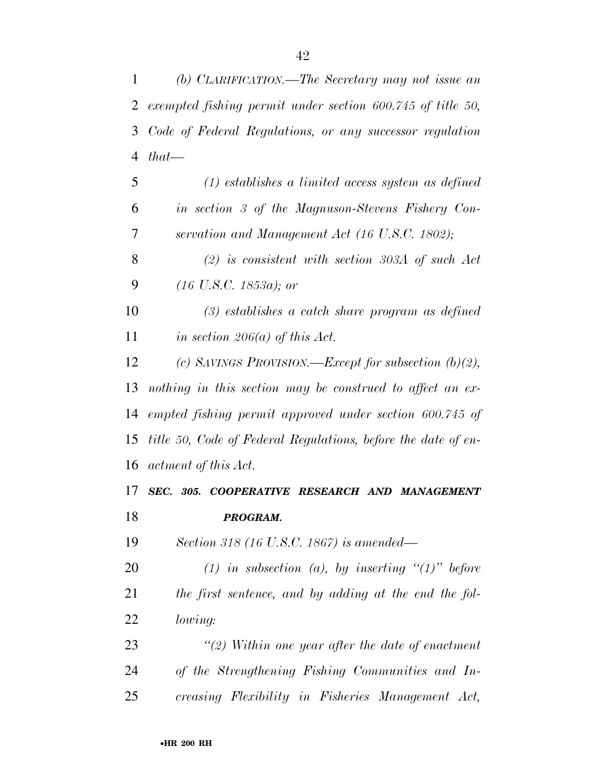| 1              | (b) CLARIFICATION.—The Secretary may not issue an             |
|----------------|---------------------------------------------------------------|
| $\overline{2}$ | exempted fishing permit under section 600.745 of title 50,    |
| 3              | Code of Federal Regulations, or any successor regulation      |
| $\overline{4}$ | $that$ —                                                      |
| 5              | $(1)$ establishes a limited access system as defined          |
| 6              | in section 3 of the Magnuson-Stevens Fishery Con-             |
| 7              | servation and Management Act (16 U.S.C. 1802);                |
| 8              | $(2)$ is consistent with section 303A of such Act             |
| 9              | $(16 \text{ U.S. C. } 1853a)$ ; or                            |
| 10             | $(3)$ establishes a catch share program as defined            |
| 11             | in section 206(a) of this Act.                                |
| 12             | (c) SAVINGS PROVISION.—Except for subsection $(b)(2)$ ,       |
| 13             | nothing in this section may be construed to affect an ex-     |
| 14             | empted fishing permit approved under section 600.745 of       |
| 15             | title 50, Code of Federal Regulations, before the date of en- |
| 16             | actment of this Act.                                          |
| 17             | SEC. 305. COOPERATIVE RESEARCH AND MANAGEMENT                 |
| 18             | PROGRAM.                                                      |
| 19             | Section 318 (16 U.S.C. 1867) is amended—                      |
| 20             | (1) in subsection (a), by inserting " $(1)$ " before          |
| 21             | the first sentence, and by adding at the end the fol-         |
| 22             | lowing:                                                       |
| 23             | $\lq(2)$ Within one year after the date of enactment          |
| 24             | of the Strengthening Fishing Communities and In-              |
| 25             | creasing Flexibility in Fisheries Management Act,             |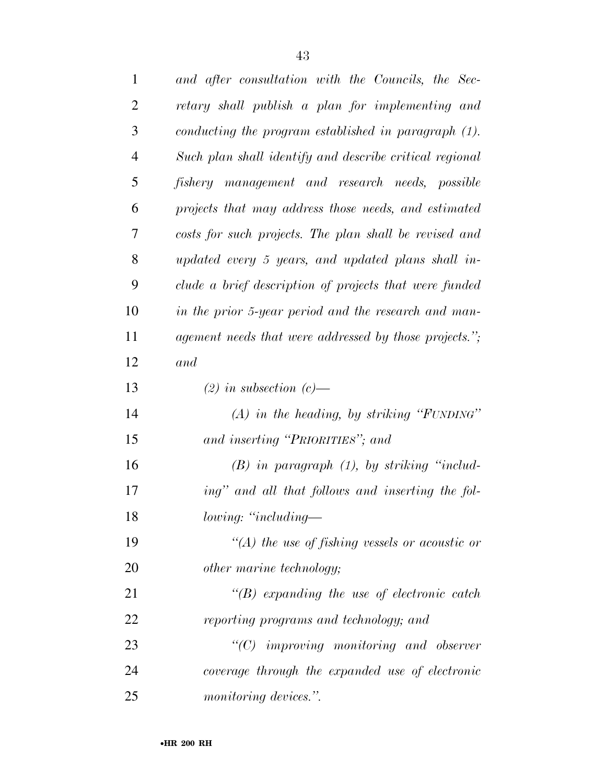| $\mathbf{1}$   | and after consultation with the Councils, the Sec-      |
|----------------|---------------------------------------------------------|
| $\overline{2}$ | retary shall publish a plan for implementing and        |
| 3              | conducting the program established in paragraph (1).    |
| $\overline{4}$ | Such plan shall identify and describe critical regional |
| 5              | fishery management and research needs, possible         |
| 6              | projects that may address those needs, and estimated    |
| 7              | costs for such projects. The plan shall be revised and  |
| 8              | updated every 5 years, and updated plans shall in-      |
| 9              | clude a brief description of projects that were funded  |
| 10             | in the prior 5-year period and the research and man-    |
| 11             | agement needs that were addressed by those projects.";  |
| 12             | and                                                     |
| 13             | $(2)$ in subsection $(c)$ —                             |
| 14             | $(A)$ in the heading, by striking "FUNDING"             |
| 15             | and inserting "PRIORITIES"; and                         |
| 16             | $(B)$ in paragraph $(1)$ , by striking "includ-         |
| 17             | ing" and all that follows and inserting the fol-        |
| 18             | lowing: "including—                                     |
| 19             | "(A) the use of fishing vessels or acoustic or          |
| 20             | other marine technology;                                |
| 21             | $\lq\lq(B)$ expanding the use of electronic catch       |
| 22             | reporting programs and technology; and                  |
| 23             | $"$ (C) improving monitoring and observer               |
| 24             | coverage through the expanded use of electronic         |
| 25             | monitoring devices.".                                   |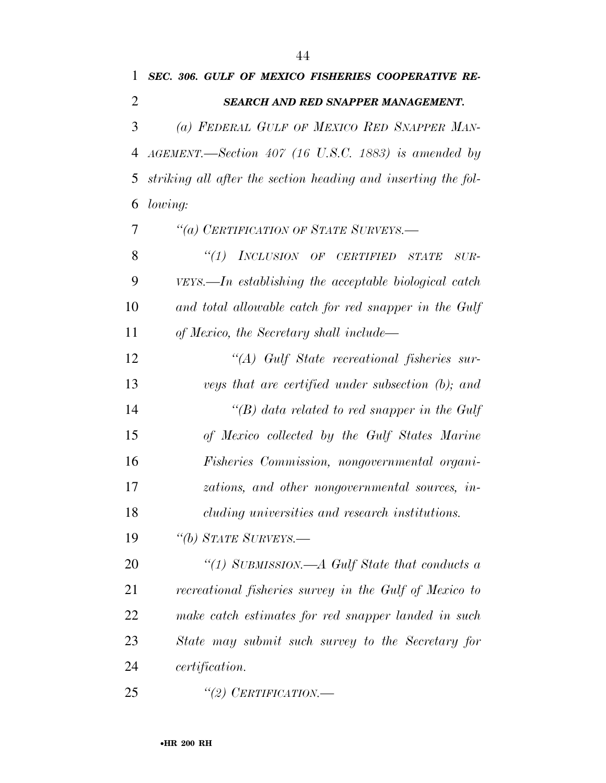| 1              | SEC. 306. GULF OF MEXICO FISHERIES COOPERATIVE RE-                              |
|----------------|---------------------------------------------------------------------------------|
| 2              | <b>SEARCH AND RED SNAPPER MANAGEMENT.</b>                                       |
| 3              | (a) FEDERAL GULF OF MEXICO RED SNAPPER MAN-                                     |
| $\overline{4}$ | $AGEMENT. \text{—Section 407}$ (16 U.S.C. 1883) is amended by                   |
| 5              | striking all after the section heading and inserting the fol-                   |
| 6              | lowing:                                                                         |
| 7              | "(a) CERTIFICATION OF STATE SURVEYS.-                                           |
| 8              | "(1) INCLUSION OF CERTIFIED<br>STATE<br>$\mathcal{S} \mathcal{U} \mathcal{R}$ - |
| 9              | $VEYS.$ In establishing the acceptable biological catch                         |
| 10             | and total allowable catch for red snapper in the Gulf                           |
| 11             | of Mexico, the Secretary shall include—                                         |
| 12             | "(A) Gulf State recreational fisheries sur-                                     |
| 13             | veys that are certified under subsection (b); and                               |
| 14             | "(B) data related to red snapper in the Gulf                                    |
| 15             | of Mexico collected by the Gulf States Marine                                   |
| 16             | Fisheries Commission, nongovernmental organi-                                   |
| 17             | zations, and other nongovernmental sources, in-                                 |
| 18             | cluding universities and research institutions.                                 |
| 19             | "(b) STATE SURVEYS.—                                                            |
| 20             | "(1) SUBMISSION.—A Gulf State that conducts a                                   |
| 21             | recreational fisheries survey in the Gulf of Mexico to                          |
| 22             | make catch estimates for red snapper landed in such                             |
| 23             | State may submit such survey to the Secretary for                               |
| 24             | <i>certification.</i>                                                           |
| 25             | "(2) CERTIFICATION.—                                                            |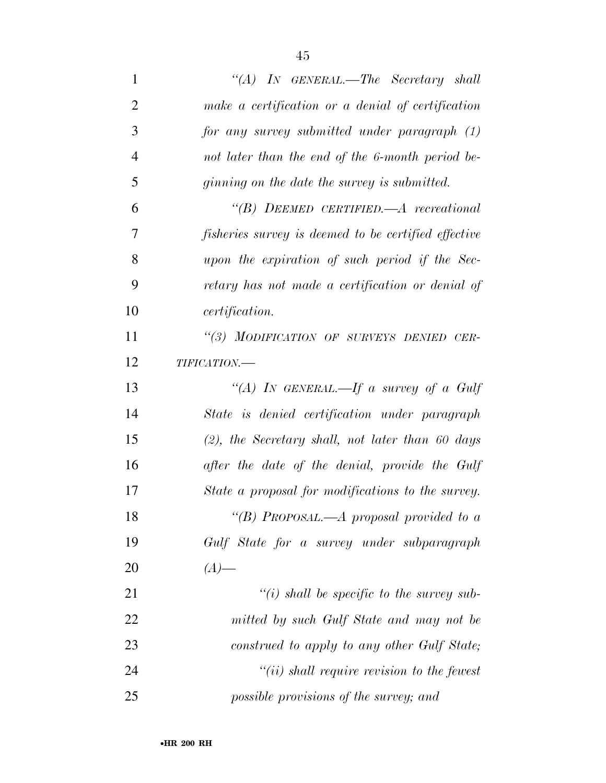| $\mathbf{1}$   | "(A) In GENERAL.—The Secretary shall                        |
|----------------|-------------------------------------------------------------|
| $\overline{2}$ | make a certification or a denial of certification           |
| 3              | for any survey submitted under paragraph (1)                |
| $\overline{4}$ | not later than the end of the 6-month period be-            |
| 5              | ginning on the date the survey is submitted.                |
| 6              | $\lq\lq B$ ) DEEMED CERTIFIED.—A recreational               |
| 7              | <i>fisheries survey is deemed to be certified effective</i> |
| 8              | upon the expiration of such period if the Sec-              |
| 9              | retary has not made a certification or denial of            |
| 10             | <i>certification.</i>                                       |
| 11             | "(3) MODIFICATION OF SURVEYS DENIED CER-                    |
| 12             | $\it TIFICATION.$                                           |
| 13             | "(A) IN GENERAL.—If a survey of a Gulf                      |
| 14             | State is denied certification under paragraph               |
| 15             | $(2)$ , the Secretary shall, not later than 60 days         |
| 16             | after the date of the denial, provide the Gulf              |
| 17             | State a proposal for modifications to the survey.           |
| 18             | "(B) PROPOSAL.—A proposal provided to a                     |
| 19             | Gulf State for a survey under subparagraph                  |
| 20             | $(A)$ —                                                     |
| 21             | $\lq\lq(i)$ shall be specific to the survey sub-            |
| 22             | mitted by such Gulf State and may not be                    |
| 23             | construed to apply to any other Gulf State;                 |
| 24             | $"(ii)$ shall require revision to the fewest                |
| 25             | possible provisions of the survey; and                      |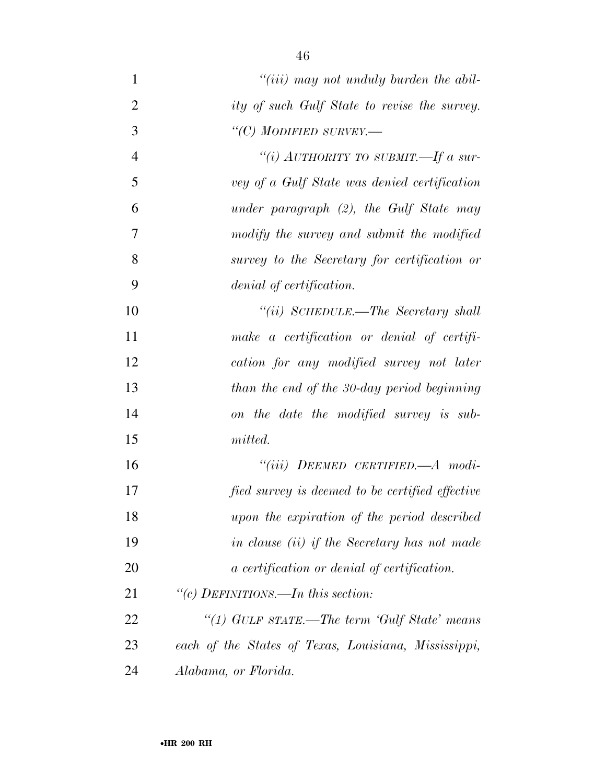*''(iii) may not unduly burden the abil- ity of such Gulf State to revise the survey. ''(C) MODIFIED SURVEY.— ''(i) AUTHORITY TO SUBMIT.—If a sur- vey of a Gulf State was denied certification under paragraph (2), the Gulf State may modify the survey and submit the modified survey to the Secretary for certification or denial of certification. ''(ii) SCHEDULE.—The Secretary shall make a certification or denial of certifi- cation for any modified survey not later than the end of the 30-day period beginning on the date the modified survey is sub- mitted. ''(iii) DEEMED CERTIFIED.—A modi- fied survey is deemed to be certified effective upon the expiration of the period described in clause (ii) if the Secretary has not made a certification or denial of certification. ''(c) DEFINITIONS.—In this section: ''(1) GULF STATE.—The term 'Gulf State' means* 

 *each of the States of Texas, Louisiana, Mississippi, Alabama, or Florida.*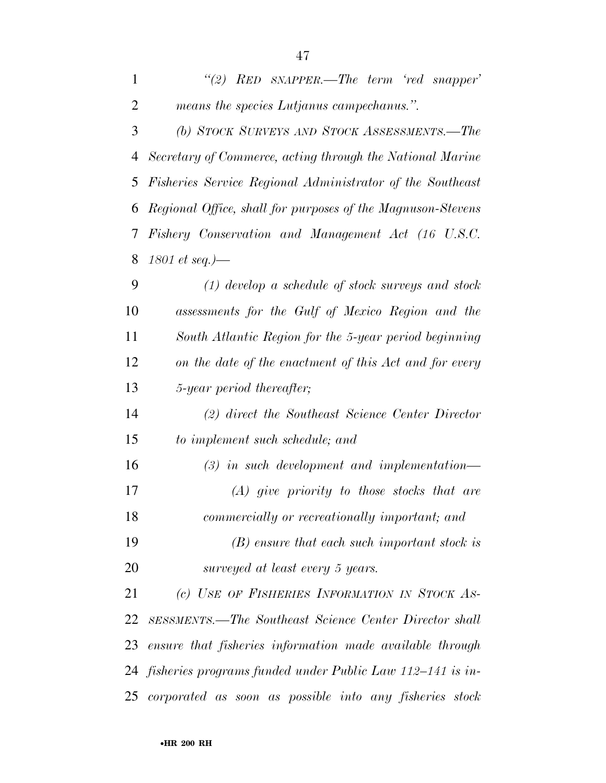| $\mathbf{1}$   | "(2) RED SNAPPER.—The term 'red snapper'                      |
|----------------|---------------------------------------------------------------|
| $\overline{2}$ | means the species Lutjanus campechanus.".                     |
| 3              | (b) STOCK SURVEYS AND STOCK ASSESSMENTS.-The                  |
| 4              | Secretary of Commerce, acting through the National Marine     |
| 5              | Fisheries Service Regional Administrator of the Southeast     |
| 6              | Regional Office, shall for purposes of the Magnuson-Stevens   |
| 7              | Fishery Conservation and Management Act (16 U.S.C.            |
| 8              | 1801 et seq.)—                                                |
| 9              | $(1)$ develop a schedule of stock surveys and stock           |
| 10             | assessments for the Gulf of Mexico Region and the             |
| 11             | South Atlantic Region for the 5-year period beginning         |
| 12             | on the date of the enactment of this Act and for every        |
| 13             | 5-year period thereafter;                                     |
| 14             | (2) direct the Southeast Science Center Director              |
| 15             | to implement such schedule; and                               |
| 16             | $(3)$ in such development and implementation—                 |
| 17             | $(A)$ give priority to those stocks that are                  |
| 18             | commercially or recreationally important; and                 |
| 19             | $(B)$ ensure that each such important stock is                |
| 20             | surveyed at least every 5 years.                              |
| 21             | (c) USE OF FISHERIES INFORMATION IN STOCK AS-                 |
| 22             | <b>SESSMENTS.—The Southeast Science Center Director shall</b> |
| 23             | ensure that fisheries information made available through      |
| 24             | fisheries programs funded under Public Law 112–141 is in-     |
| 25             | corporated as soon as possible into any fisheries stock       |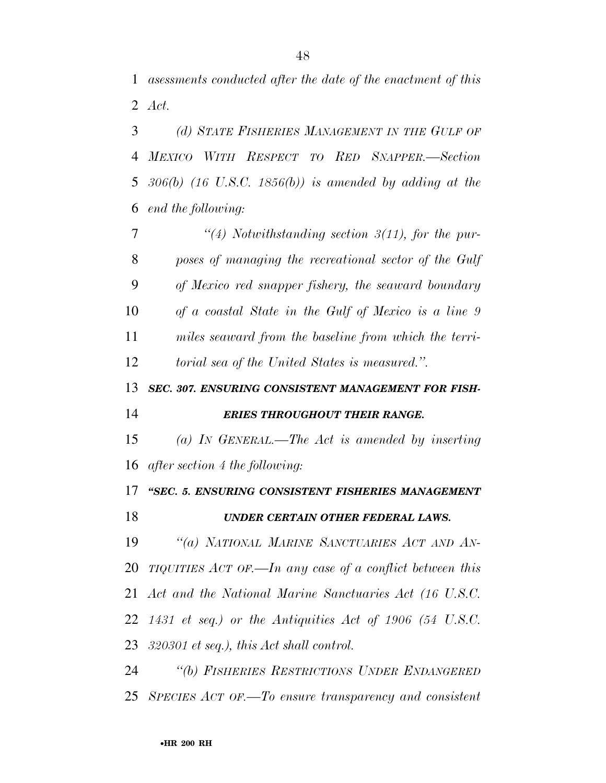*asessments conducted after the date of the enactment of this Act.* 

 *(d) STATE FISHERIES MANAGEMENT IN THE GULF OF MEXICO WITH RESPECT TO RED SNAPPER.—Section 306(b) (16 U.S.C. 1856(b)) is amended by adding at the end the following:* 

 *''(4) Notwithstanding section 3(11), for the pur- poses of managing the recreational sector of the Gulf of Mexico red snapper fishery, the seaward boundary of a coastal State in the Gulf of Mexico is a line 9 miles seaward from the baseline from which the terri-torial sea of the United States is measured.''.* 

*SEC. 307. ENSURING CONSISTENT MANAGEMENT FOR FISH-*

*ERIES THROUGHOUT THEIR RANGE.* 

 *(a) IN GENERAL.—The Act is amended by inserting after section 4 the following:* 

*''SEC. 5. ENSURING CONSISTENT FISHERIES MANAGEMENT* 

### *UNDER CERTAIN OTHER FEDERAL LAWS.*

 *''(a) NATIONAL MARINE SANCTUARIES ACT AND AN- TIQUITIES ACT OF.—In any case of a conflict between this Act and the National Marine Sanctuaries Act (16 U.S.C. 1431 et seq.) or the Antiquities Act of 1906 (54 U.S.C. 320301 et seq.), this Act shall control.* 

 *''(b) FISHERIES RESTRICTIONS UNDER ENDANGERED SPECIES ACT OF.—To ensure transparency and consistent*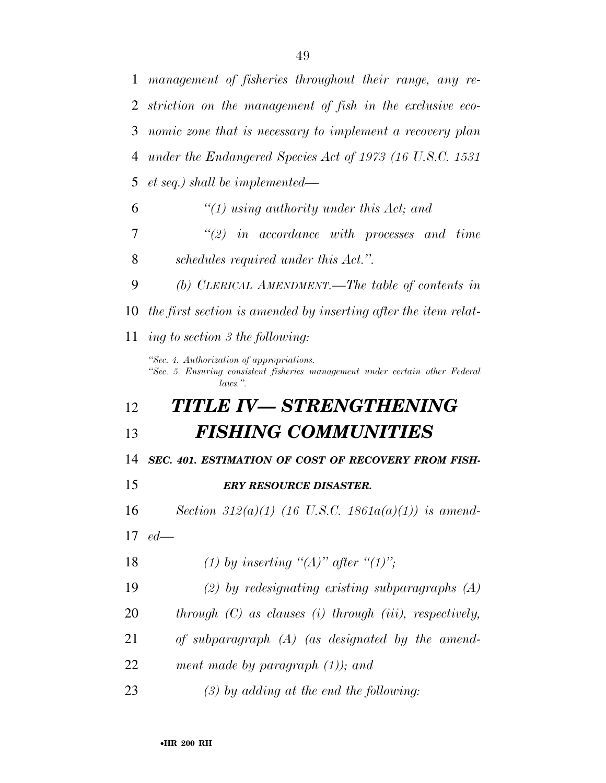*management of fisheries throughout their range, any re- striction on the management of fish in the exclusive eco- nomic zone that is necessary to implement a recovery plan under the Endangered Species Act of 1973 (16 U.S.C. 1531 et seq.) shall be implemented— ''(1) using authority under this Act; and ''(2) in accordance with processes and time schedules required under this Act.''. (b) CLERICAL AMENDMENT.—The table of contents in the first section is amended by inserting after the item relat- ing to section 3 the following: ''Sec. 4. Authorization of appropriations. ''Sec. 5. Ensuring consistent fisheries management under certain other Federal laws.''. TITLE IV— STRENGTHENING FISHING COMMUNITIES SEC. 401. ESTIMATION OF COST OF RECOVERY FROM FISH- ERY RESOURCE DISASTER. Section 312(a)(1) (16 U.S.C. 1861a(a)(1)) is amend- ed— (1) by inserting ''(A)'' after ''(1)''; (2) by redesignating existing subparagraphs (A) through (C) as clauses (i) through (iii), respectively, of subparagraph (A) (as designated by the amend- ment made by paragraph (1)); and (3) by adding at the end the following:*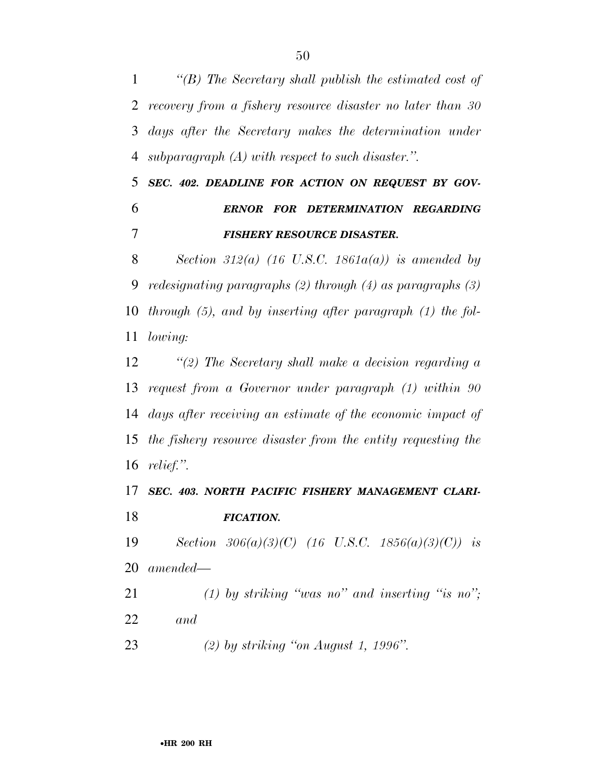*''(B) The Secretary shall publish the estimated cost of recovery from a fishery resource disaster no later than 30 days after the Secretary makes the determination under subparagraph (A) with respect to such disaster.''.* 

 *SEC. 402. DEADLINE FOR ACTION ON REQUEST BY GOV- ERNOR FOR DETERMINATION REGARDING FISHERY RESOURCE DISASTER.* 

 *Section 312(a) (16 U.S.C. 1861a(a)) is amended by redesignating paragraphs (2) through (4) as paragraphs (3) through (5), and by inserting after paragraph (1) the fol-lowing:* 

 *''(2) The Secretary shall make a decision regarding a request from a Governor under paragraph (1) within 90 days after receiving an estimate of the economic impact of the fishery resource disaster from the entity requesting the relief.''.* 

 *SEC. 403. NORTH PACIFIC FISHERY MANAGEMENT CLARI-FICATION.* 

 *Section 306(a)(3)(C) (16 U.S.C. 1856(a)(3)(C)) is amended—* 

 *(1) by striking ''was no'' and inserting ''is no''; and* 

*(2) by striking ''on August 1, 1996''.*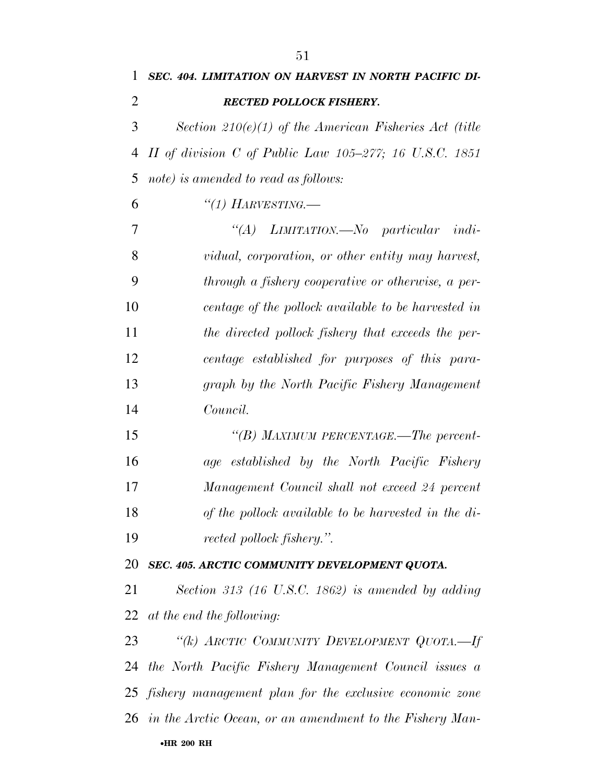|    | IJТ                                                       |
|----|-----------------------------------------------------------|
| 1  | SEC. 404. LIMITATION ON HARVEST IN NORTH PACIFIC DI-      |
| 2  | <b>RECTED POLLOCK FISHERY.</b>                            |
| 3  | Section 210 $(e)(1)$ of the American Fisheries Act (title |
| 4  | II of division C of Public Law $105-277$ ; 16 U.S.C. 1851 |
| 5  | note) is amended to read as follows:                      |
| 6  | "(1) HARVESTING.                                          |
| 7  | "(A) LIMITATION.—No particular indi-                      |
| 8  | vidual, corporation, or other entity may harvest,         |
| 9  | through a fishery cooperative or otherwise, a per-        |
| 10 | centage of the pollock available to be harvested in       |
| 11 | the directed pollock fishery that exceeds the per-        |
| 12 | centage established for purposes of this para-            |
| 13 | graph by the North Pacific Fishery Management             |
| 14 | Council.                                                  |
| 15 | "(B) MAXIMUM PERCENTAGE.—The percent-                     |
| 16 | age established by the North Pacific Fishery              |
| 17 | Management Council shall not exceed 24 percent            |
| 18 | of the pollock available to be harvested in the di-       |
| 19 | rected pollock fishery.".                                 |
| 20 | SEC. 405. ARCTIC COMMUNITY DEVELOPMENT QUOTA.             |
| 21 | Section 313 (16 U.S.C. 1862) is amended by adding         |

*at the end the following:* 

•**HR 200 RH** *''(k) ARCTIC COMMUNITY DEVELOPMENT QUOTA.—If the North Pacific Fishery Management Council issues a fishery management plan for the exclusive economic zone in the Arctic Ocean, or an amendment to the Fishery Man-*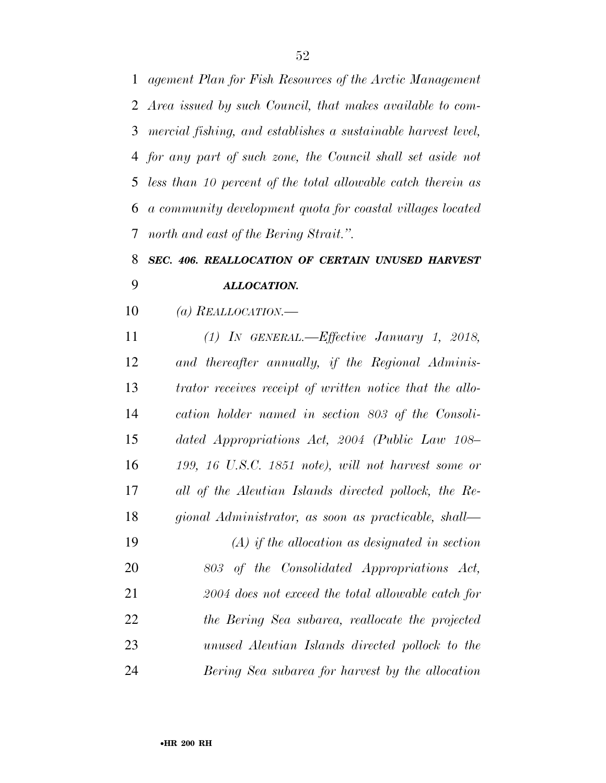*agement Plan for Fish Resources of the Arctic Management Area issued by such Council, that makes available to com- mercial fishing, and establishes a sustainable harvest level, for any part of such zone, the Council shall set aside not less than 10 percent of the total allowable catch therein as a community development quota for coastal villages located north and east of the Bering Strait.''.* 

## *SEC. 406. REALLOCATION OF CERTAIN UNUSED HARVEST ALLOCATION.*

*(a) REALLOCATION.—* 

 *(1) IN GENERAL.—Effective January 1, 2018, and thereafter annually, if the Regional Adminis- trator receives receipt of written notice that the allo- cation holder named in section 803 of the Consoli- dated Appropriations Act, 2004 (Public Law 108– 199, 16 U.S.C. 1851 note), will not harvest some or all of the Aleutian Islands directed pollock, the Re- gional Administrator, as soon as practicable, shall— (A) if the allocation as designated in section 803 of the Consolidated Appropriations Act, 2004 does not exceed the total allowable catch for the Bering Sea subarea, reallocate the projected unused Aleutian Islands directed pollock to the Bering Sea subarea for harvest by the allocation*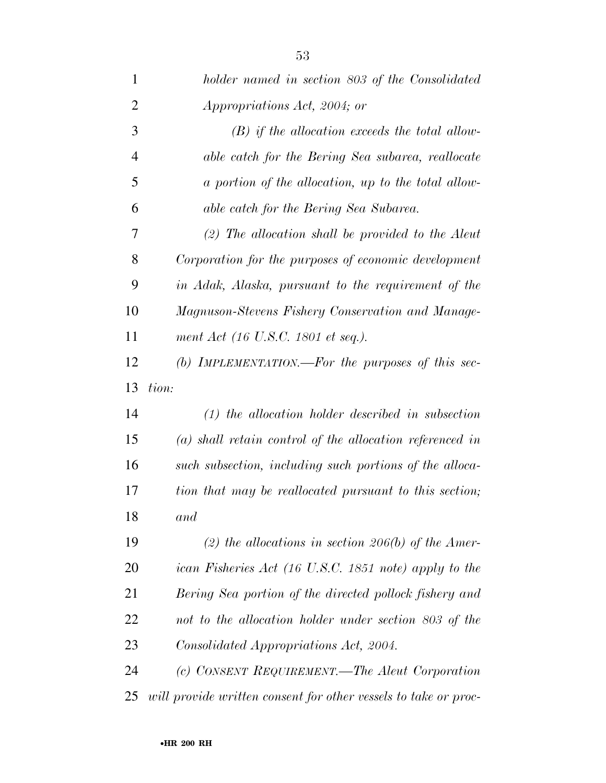| $\mathbf{1}$   | holder named in section 803 of the Consolidated                 |
|----------------|-----------------------------------------------------------------|
| $\overline{2}$ | Appropriations Act, 2004; or                                    |
| 3              | $(B)$ if the allocation exceeds the total allow-                |
| $\overline{4}$ | able catch for the Bering Sea subarea, reallocate               |
| 5              | a portion of the allocation, up to the total allow-             |
| 6              | able catch for the Bering Sea Subarea.                          |
| 7              | $(2)$ The allocation shall be provided to the Aleut             |
| 8              | Corporation for the purposes of economic development            |
| 9              | in Adak, Alaska, pursuant to the requirement of the             |
| 10             | Magnuson-Stevens Fishery Conservation and Manage-               |
| 11             | ment Act (16 U.S.C. 1801 et seq.).                              |
| 12             | (b) IMPLEMENTATION.—For the purposes of this sec-               |
| 13             | tion:                                                           |
| 14             | $(1)$ the allocation holder described in subsection             |
| 15             | $(a)$ shall retain control of the allocation referenced in      |
| 16             | such subsection, including such portions of the alloca-         |
| 17             | tion that may be reallocated pursuant to this section;          |
| 18             | and                                                             |
| 19             | (2) the allocations in section 206(b) of the Amer-              |
| 20             | ican Fisheries Act (16 U.S.C. 1851 note) apply to the           |
| 21             | Bering Sea portion of the directed pollock fishery and          |
| 22             | not to the allocation holder under section 803 of the           |
| 23             | Consolidated Appropriations Act, 2004.                          |
| 24             | (c) CONSENT REQUIREMENT.—The Aleut Corporation                  |
| 25             | will provide written consent for other vessels to take or proc- |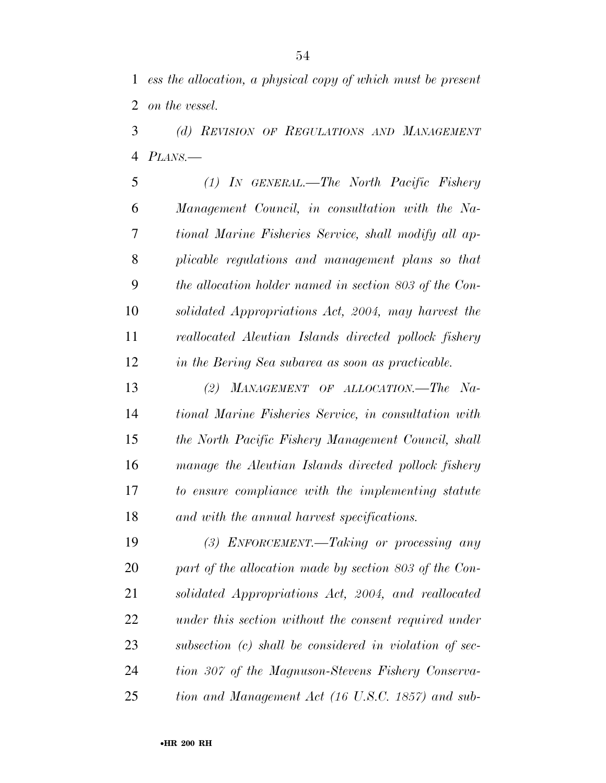*ess the allocation, a physical copy of which must be present on the vessel.* 

 *(d) REVISION OF REGULATIONS AND MANAGEMENT PLANS.—* 

 *(1) IN GENERAL.—The North Pacific Fishery Management Council, in consultation with the Na- tional Marine Fisheries Service, shall modify all ap- plicable regulations and management plans so that the allocation holder named in section 803 of the Con- solidated Appropriations Act, 2004, may harvest the reallocated Aleutian Islands directed pollock fishery in the Bering Sea subarea as soon as practicable.* 

 *(2) MANAGEMENT OF ALLOCATION.—The Na- tional Marine Fisheries Service, in consultation with the North Pacific Fishery Management Council, shall manage the Aleutian Islands directed pollock fishery to ensure compliance with the implementing statute and with the annual harvest specifications.* 

 *(3) ENFORCEMENT.—Taking or processing any part of the allocation made by section 803 of the Con- solidated Appropriations Act, 2004, and reallocated under this section without the consent required under subsection (c) shall be considered in violation of sec- tion 307 of the Magnuson-Stevens Fishery Conserva-tion and Management Act (16 U.S.C. 1857) and sub-*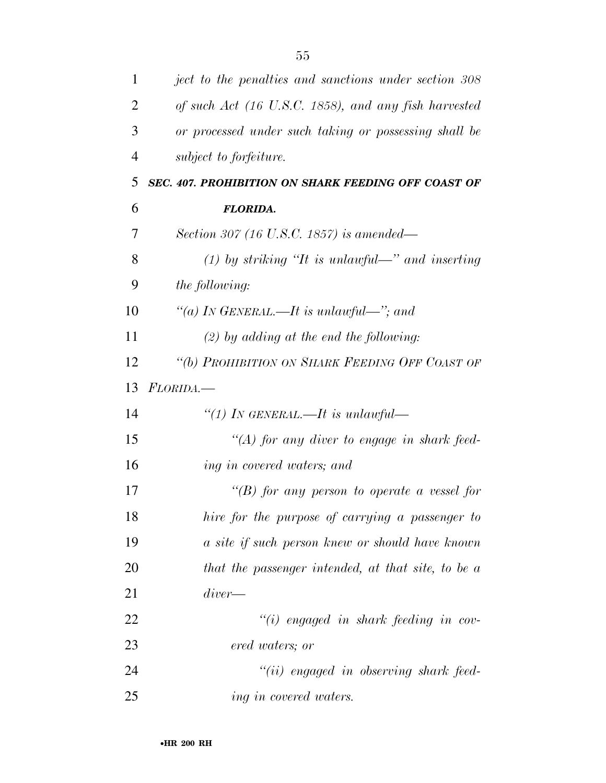| $\mathbf{1}$   | ject to the penalties and sanctions under section 308 |
|----------------|-------------------------------------------------------|
| $\overline{2}$ | of such Act (16 U.S.C. 1858), and any fish harvested  |
| 3              | or processed under such taking or possessing shall be |
| 4              | subject to forfeiture.                                |
| 5              | SEC. 407. PROHIBITION ON SHARK FEEDING OFF COAST OF   |
| 6              | <b>FLORIDA.</b>                                       |
| 7              | Section 307 (16 U.S.C. 1857) is amended—              |
| 8              | (1) by striking "It is unlawful—" and inserting       |
| 9              | <i>the following:</i>                                 |
| 10             | "(a) IN GENERAL.—It is unlawful—"; and                |
| 11             | $(2)$ by adding at the end the following:             |
| 12             | "(b) PROHIBITION ON SHARK FEEDING OFF COAST OF        |
| 13             | FLORIDA.—                                             |
| 14             | "(1) In GENERAL.—It is unlawful—                      |
| 15             | "(A) for any diver to engage in shark feed-           |
| 16             | ing in covered waters; and                            |
| 17             | "(B) for any person to operate a vessel for           |
| 18             | hire for the purpose of carrying a passenger to       |
| 19             | a site if such person knew or should have known       |
| 20             | that the passenger intended, at that site, to be a    |
| 21             | $diver$ —                                             |
| 22             | $``(i)$ engaged in shark feeding in cov-              |
| 23             | ered waters; or                                       |
| 24             | "(ii) engaged in observing shark feed-                |
| 25             | ing in covered waters.                                |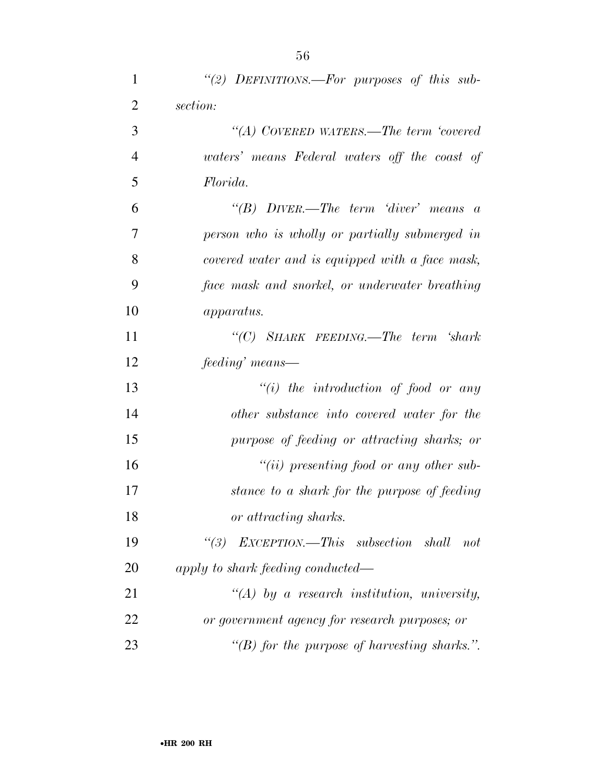| $\mathbf{1}$   | "(2) DEFINITIONS.—For purposes of this sub-      |
|----------------|--------------------------------------------------|
| $\overline{2}$ | section:                                         |
| 3              | "(A) COVERED WATERS.—The term 'covered           |
| $\overline{4}$ | waters' means Federal waters off the coast of    |
| 5              | Florida.                                         |
| 6              | "(B) $DIVER$ —The term 'diver' means a           |
| $\overline{7}$ | person who is wholly or partially submerged in   |
| 8              | covered water and is equipped with a face mask,  |
| 9              | face mask and snorkel, or underwater breathing   |
| 10             | <i>apparatus.</i>                                |
| 11             | "(C) SHARK FEEDING.—The term 'shark              |
| 12             | feeding' means—                                  |
| 13             | $``(i)$ the introduction of food or any          |
| 14             | other substance into covered water for the       |
| 15             | purpose of feeding or attracting sharks; or      |
| 16             | $``(ii)$ presenting food or any other sub-       |
| 17             | stance to a shark for the purpose of feeding     |
| 18             | or attracting sharks.                            |
| 19             | "(3) $EXCEPTION$ —This subsection shall not      |
| 20             | apply to shark feeding conducted—                |
| 21             | $\lq (A)$ by a research institution, university, |
| 22             | or government agency for research purposes; or   |
| 23             | "(B) for the purpose of harvesting sharks.".     |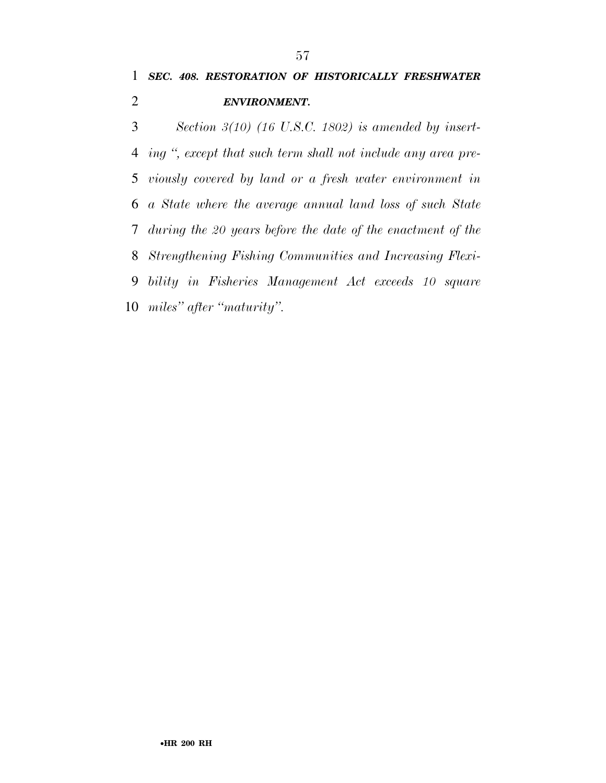*Section 3(10) (16 U.S.C. 1802) is amended by insert- ing '', except that such term shall not include any area pre- viously covered by land or a fresh water environment in a State where the average annual land loss of such State during the 20 years before the date of the enactment of the Strengthening Fishing Communities and Increasing Flexi- bility in Fisheries Management Act exceeds 10 square miles'' after ''maturity''.*